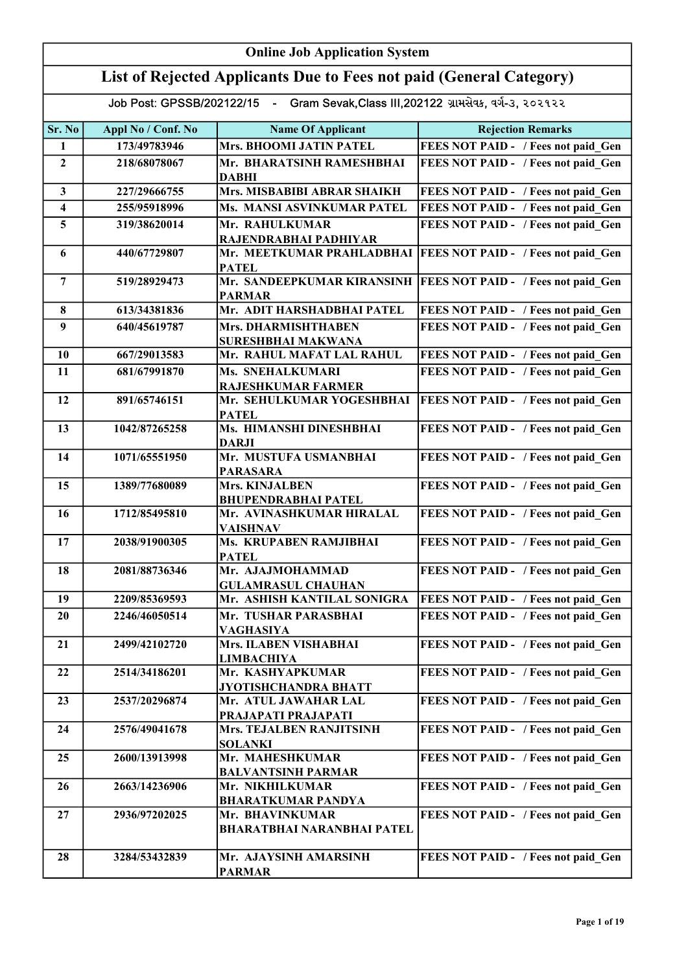| <b>Online Job Application System</b> |                                                                                     |                                                      |                                            |  |
|--------------------------------------|-------------------------------------------------------------------------------------|------------------------------------------------------|--------------------------------------------|--|
|                                      | List of Rejected Applicants Due to Fees not paid (General Category)                 |                                                      |                                            |  |
|                                      | Job Post: GPSSB/202122/15 - Gram Sevak, Class III, 202122 ગ્રામસેવક, વર્ગ-૩, ૨૦૨૧૨૨ |                                                      |                                            |  |
| Sr. No                               | Appl No / Conf. No                                                                  | <b>Name Of Applicant</b>                             | <b>Rejection Remarks</b>                   |  |
| 1                                    | 173/49783946                                                                        | Mrs. BHOOMI JATIN PATEL                              | FEES NOT PAID - / Fees not paid Gen        |  |
| $\overline{2}$                       | 218/68078067                                                                        | Mr. BHARATSINH RAMESHBHAI<br><b>DABHI</b>            | FEES NOT PAID - / Fees not paid Gen        |  |
| $\mathbf{3}$                         | 227/29666755                                                                        | Mrs. MISBABIBI ABRAR SHAIKH                          | FEES NOT PAID - / Fees not paid Gen        |  |
| $\overline{\mathbf{4}}$              | 255/95918996                                                                        | Ms. MANSI ASVINKUMAR PATEL                           | FEES NOT PAID - / Fees not paid Gen        |  |
| 5                                    | 319/38620014                                                                        | Mr. RAHULKUMAR<br>RAJENDRABHAI PADHIYAR              | FEES NOT PAID - / Fees not paid Gen        |  |
| 6                                    | 440/67729807                                                                        | Mr. MEETKUMAR PRAHLADBHAI<br><b>PATEL</b>            | <b>FEES NOT PAID - / Fees not paid Gen</b> |  |
| $\overline{7}$                       | 519/28929473                                                                        | Mr. SANDEEPKUMAR KIRANSINH<br><b>PARMAR</b>          | <b>FEES NOT PAID - / Fees not paid Gen</b> |  |
| 8                                    | 613/34381836                                                                        | Mr. ADIT HARSHADBHAI PATEL                           | FEES NOT PAID - / Fees not paid Gen        |  |
| 9                                    | 640/45619787                                                                        | Mrs. DHARMISHTHABEN<br>SURESHBHAI MAKWANA            | FEES NOT PAID - / Fees not paid Gen        |  |
| 10                                   | 667/29013583                                                                        | Mr. RAHUL MAFAT LAL RAHUL                            | FEES NOT PAID - / Fees not paid Gen        |  |
| 11                                   | 681/67991870                                                                        | Ms. SNEHALKUMARI<br>RAJESHKUMAR FARMER               | FEES NOT PAID - / Fees not paid Gen        |  |
| 12                                   | 891/65746151                                                                        | Mr. SEHULKUMAR YOGESHBHAI<br><b>PATEL</b>            | FEES NOT PAID - / Fees not paid Gen        |  |
| 13                                   | 1042/87265258                                                                       | Ms. HIMANSHI DINESHBHAI<br><b>DARJI</b>              | FEES NOT PAID - / Fees not paid Gen        |  |
| 14                                   | 1071/65551950                                                                       | Mr. MUSTUFA USMANBHAI<br><b>PARASARA</b>             | FEES NOT PAID - / Fees not paid Gen        |  |
| 15                                   | 1389/77680089                                                                       | Mrs. KINJALBEN<br><b>BHUPENDRABHAI PATEL</b>         | FEES NOT PAID - / Fees not paid Gen        |  |
| 16                                   | 1712/85495810                                                                       | Mr. AVINASHKUMAR HIRALAL<br><b>VAISHNAV</b>          | FEES NOT PAID - / Fees not paid Gen        |  |
| 17                                   | 2038/91900305                                                                       | <b>Ms. KRUPABEN RAMJIBHAI</b><br><b>PATEL</b>        | FEES NOT PAID - / Fees not paid Gen        |  |
| 18                                   | 2081/88736346                                                                       | Mr. AJAJMOHAMMAD<br><b>GULAMRASUL CHAUHAN</b>        | FEES NOT PAID - / Fees not paid Gen        |  |
| 19                                   | 2209/85369593                                                                       | Mr. ASHISH KANTILAL SONIGRA                          | FEES NOT PAID - / Fees not paid Gen        |  |
| 20                                   | 2246/46050514                                                                       | Mr. TUSHAR PARASBHAI<br>VAGHASIYA                    | FEES NOT PAID - / Fees not paid Gen        |  |
| 21                                   | 2499/42102720                                                                       | <b>Mrs. ILABEN VISHABHAI</b><br><b>LIMBACHIYA</b>    | FEES NOT PAID - / Fees not paid Gen        |  |
| 22                                   | 2514/34186201                                                                       | Mr. KASHYAPKUMAR<br><b>JYOTISHCHANDRA BHATT</b>      | FEES NOT PAID - / Fees not paid Gen        |  |
| 23                                   | 2537/20296874                                                                       | Mr. ATUL JAWAHAR LAL<br>PRAJAPATI PRAJAPATI          | FEES NOT PAID - / Fees not paid Gen        |  |
| 24                                   | 2576/49041678                                                                       | Mrs. TEJALBEN RANJITSINH<br><b>SOLANKI</b>           | FEES NOT PAID - / Fees not paid Gen        |  |
| 25                                   | 2600/13913998                                                                       | Mr. MAHESHKUMAR<br><b>BALVANTSINH PARMAR</b>         | FEES NOT PAID - / Fees not paid Gen        |  |
| 26                                   | 2663/14236906                                                                       | Mr. NIKHILKUMAR<br><b>BHARATKUMAR PANDYA</b>         | FEES NOT PAID - / Fees not paid Gen        |  |
| 27                                   | 2936/97202025                                                                       | Mr. BHAVINKUMAR<br><b>BHARATBHAI NARANBHAI PATEL</b> | FEES NOT PAID - / Fees not paid Gen        |  |
| 28                                   | 3284/53432839                                                                       | Mr. AJAYSINH AMARSINH<br><b>PARMAR</b>               | FEES NOT PAID - / Fees not paid Gen        |  |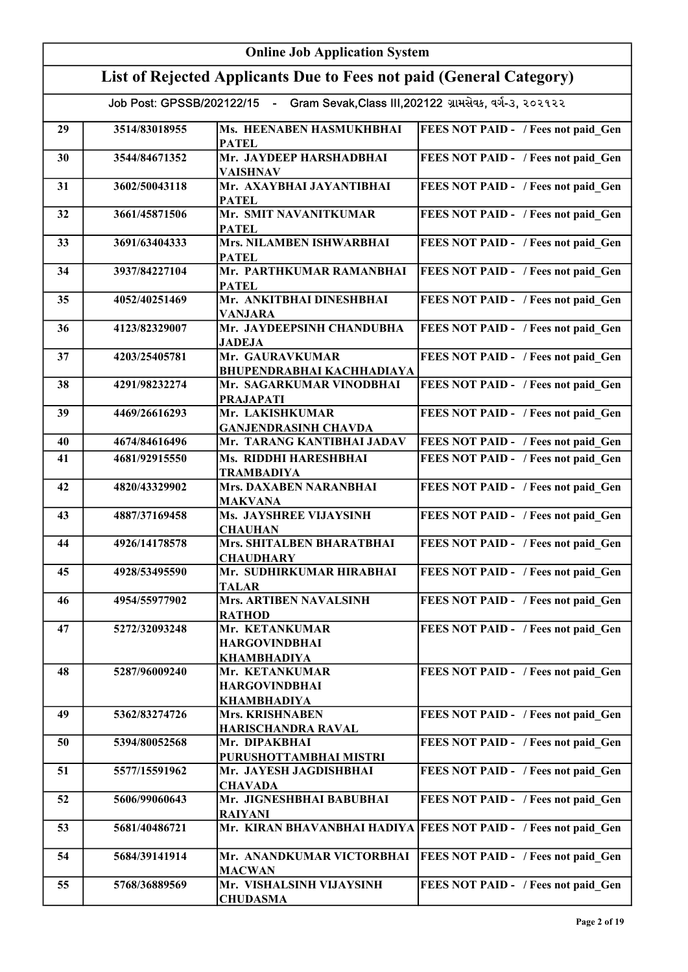|    | <b>Online Job Application System</b> |                                                                                     |                                                                 |  |
|----|--------------------------------------|-------------------------------------------------------------------------------------|-----------------------------------------------------------------|--|
|    |                                      | List of Rejected Applicants Due to Fees not paid (General Category)                 |                                                                 |  |
|    |                                      | Job Post: GPSSB/202122/15 - Gram Sevak, Class III, 202122 ગ્રામસેવક, વર્ગ-૩, ૨૦૨૧૨૨ |                                                                 |  |
| 29 | 3514/83018955                        | Ms. HEENABEN HASMUKHBHAI<br><b>PATEL</b>                                            | FEES NOT PAID - / Fees not paid Gen                             |  |
| 30 | 3544/84671352                        | Mr. JAYDEEP HARSHADBHAI<br><b>VAISHNAV</b>                                          | FEES NOT PAID - / Fees not paid_Gen                             |  |
| 31 | 3602/50043118                        | Mr. AXAYBHAI JAYANTIBHAI<br><b>PATEL</b>                                            | FEES NOT PAID - / Fees not paid Gen                             |  |
| 32 | 3661/45871506                        | Mr. SMIT NAVANITKUMAR<br><b>PATEL</b>                                               | FEES NOT PAID - / Fees not paid Gen                             |  |
| 33 | 3691/63404333                        | Mrs. NILAMBEN ISHWARBHAI<br><b>PATEL</b>                                            | FEES NOT PAID - / Fees not paid Gen                             |  |
| 34 | 3937/84227104                        | Mr. PARTHKUMAR RAMANBHAI<br><b>PATEL</b>                                            | FEES NOT PAID - / Fees not paid_Gen                             |  |
| 35 | 4052/40251469                        | Mr. ANKITBHAI DINESHBHAI<br><b>VANJARA</b>                                          | FEES NOT PAID - / Fees not paid_Gen                             |  |
| 36 | 4123/82329007                        | Mr. JAYDEEPSINH CHANDUBHA<br><b>JADEJA</b>                                          | FEES NOT PAID - / Fees not paid Gen                             |  |
| 37 | 4203/25405781                        | Mr. GAURAVKUMAR<br><b>BHUPENDRABHAI KACHHADIAYA</b>                                 | FEES NOT PAID - / Fees not paid Gen                             |  |
| 38 | 4291/98232274                        | Mr. SAGARKUMAR VINODBHAI<br><b>PRAJAPATI</b>                                        | FEES NOT PAID - / Fees not paid Gen                             |  |
| 39 | 4469/26616293                        | Mr. LAKISHKUMAR<br><b>GANJENDRASINH CHAVDA</b>                                      | FEES NOT PAID - / Fees not paid Gen                             |  |
| 40 | 4674/84616496                        | Mr. TARANG KANTIBHAI JADAV                                                          | FEES NOT PAID - / Fees not paid Gen                             |  |
| 41 | 4681/92915550                        | Ms. RIDDHI HARESHBHAI<br><b>TRAMBADIYA</b>                                          | FEES NOT PAID - / Fees not paid Gen                             |  |
| 42 | 4820/43329902                        | <b>Mrs. DAXABEN NARANBHAI</b><br><b>MAKVANA</b>                                     | FEES NOT PAID - / Fees not paid Gen                             |  |
| 43 | 4887/37169458                        | Ms. JAYSHREE VIJAYSINH<br><b>CHAUHAN</b>                                            | FEES NOT PAID - / Fees not paid Gen                             |  |
| 44 | 4926/14178578                        | Mrs. SHITALBEN BHARATBHAI<br><b>CHAUDHARY</b>                                       | FEES NOT PAID - / Fees not paid Gen                             |  |
| 45 | 4928/53495590                        | Mr. SUDHIRKUMAR HIRABHAI<br><b>TALAR</b>                                            | FEES NOT PAID - / Fees not paid Gen                             |  |
| 46 | 4954/55977902                        | <b>Mrs. ARTIBEN NAVALSINH</b><br><b>RATHOD</b>                                      | FEES NOT PAID - / Fees not paid Gen                             |  |
| 47 | 5272/32093248                        | Mr. KETANKUMAR<br><b>HARGOVINDBHAI</b><br>KHAMBHADIYA                               | FEES NOT PAID - / Fees not paid Gen                             |  |
| 48 | 5287/96009240                        | Mr. KETANKUMAR<br><b>HARGOVINDBHAI</b><br><b>KHAMBHADIYA</b>                        | FEES NOT PAID - / Fees not paid Gen                             |  |
| 49 | 5362/83274726                        | <b>Mrs. KRISHNABEN</b><br>HARISCHANDRA RAVAL                                        | FEES NOT PAID - / Fees not paid Gen                             |  |
| 50 | 5394/80052568                        | Mr. DIPAKBHAI<br>PURUSHOTTAMBHAI MISTRI                                             | FEES NOT PAID - / Fees not paid Gen                             |  |
| 51 | 5577/15591962                        | Mr. JAYESH JAGDISHBHAI<br><b>CHAVADA</b>                                            | FEES NOT PAID - / Fees not paid Gen                             |  |
| 52 | 5606/99060643                        | Mr. JIGNESHBHAI BABUBHAI<br><b>RAIYANI</b>                                          | FEES NOT PAID - / Fees not paid Gen                             |  |
| 53 | 5681/40486721                        |                                                                                     | Mr. KIRAN BHAVANBHAI HADIYA FEES NOT PAID - / Fees not paid Gen |  |
| 54 | 5684/39141914                        | Mr. ANANDKUMAR VICTORBHAI<br><b>MACWAN</b>                                          | <b>FEES NOT PAID - / Fees not paid Gen</b>                      |  |
| 55 | 5768/36889569                        | Mr. VISHALSINH VIJAYSINH<br><b>CHUDASMA</b>                                         | FEES NOT PAID - / Fees not paid Gen                             |  |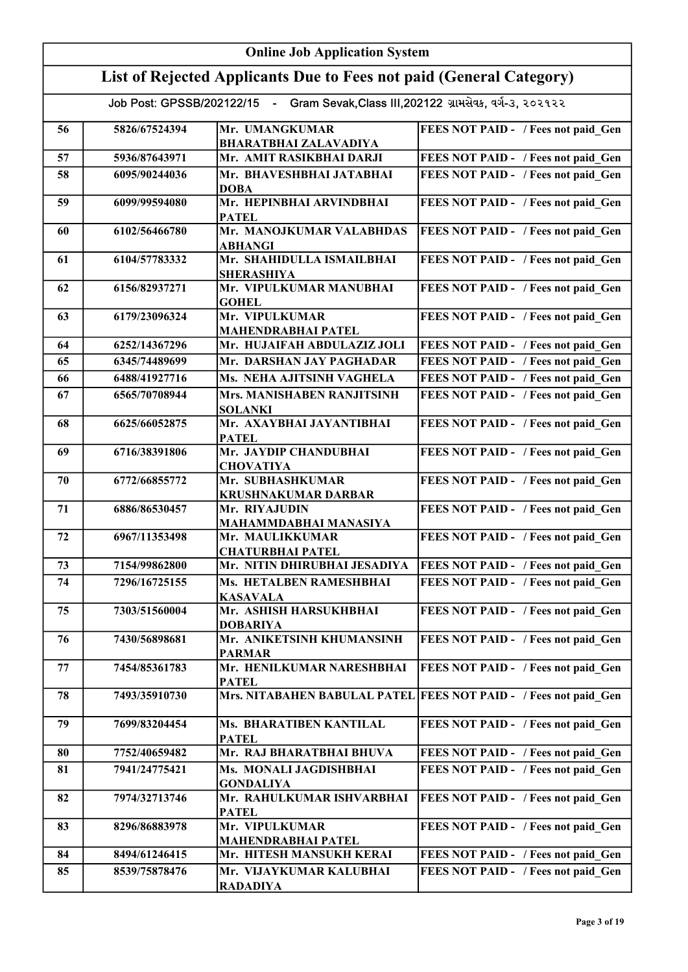|    | <b>Online Job Application System</b> |                                                                                     |                                                                  |  |
|----|--------------------------------------|-------------------------------------------------------------------------------------|------------------------------------------------------------------|--|
|    |                                      | List of Rejected Applicants Due to Fees not paid (General Category)                 |                                                                  |  |
|    |                                      | Job Post: GPSSB/202122/15 - Gram Sevak, Class III, 202122 ગ્રામસેવક, વર્ગ-3, ૨૦૨૧૨૨ |                                                                  |  |
| 56 | 5826/67524394                        | Mr. UMANGKUMAR<br><b>BHARATBHAI ZALAVADIYA</b>                                      | FEES NOT PAID - / Fees not paid Gen                              |  |
| 57 | 5936/87643971                        | Mr. AMIT RASIKBHAI DARJI                                                            | FEES NOT PAID - / Fees not paid Gen                              |  |
| 58 | 6095/90244036                        | Mr. BHAVESHBHAI JATABHAI                                                            | FEES NOT PAID - / Fees not paid Gen                              |  |
|    |                                      | <b>DOBA</b>                                                                         |                                                                  |  |
| 59 | 6099/99594080                        | Mr. HEPINBHAI ARVINDBHAI<br><b>PATEL</b>                                            | FEES NOT PAID - / Fees not paid Gen                              |  |
| 60 | 6102/56466780                        | Mr. MANOJKUMAR VALABHDAS<br><b>ABHANGI</b>                                          | FEES NOT PAID - / Fees not paid Gen                              |  |
| 61 | 6104/57783332                        | Mr. SHAHIDULLA ISMAILBHAI<br><b>SHERASHIYA</b>                                      | FEES NOT PAID - / Fees not paid_Gen                              |  |
| 62 | 6156/82937271                        | Mr. VIPULKUMAR MANUBHAI<br><b>GOHEL</b>                                             | FEES NOT PAID - / Fees not paid Gen                              |  |
| 63 | 6179/23096324                        | Mr. VIPULKUMAR<br><b>MAHENDRABHAI PATEL</b>                                         | FEES NOT PAID - / Fees not paid Gen                              |  |
| 64 | 6252/14367296                        | Mr. HUJAIFAH ABDULAZIZ JOLI                                                         | FEES NOT PAID - / Fees not paid Gen                              |  |
| 65 | 6345/74489699                        | Mr. DARSHAN JAY PAGHADAR                                                            | FEES NOT PAID - / Fees not paid Gen                              |  |
| 66 | 6488/41927716                        | Ms. NEHA AJITSINH VAGHELA                                                           | FEES NOT PAID - / Fees not paid Gen                              |  |
| 67 | 6565/70708944                        | Mrs. MANISHABEN RANJITSINH<br><b>SOLANKI</b>                                        | FEES NOT PAID - / Fees not paid Gen                              |  |
| 68 | 6625/66052875                        | Mr. AXAYBHAI JAYANTIBHAI<br><b>PATEL</b>                                            | FEES NOT PAID - / Fees not paid Gen                              |  |
| 69 | 6716/38391806                        | Mr. JAYDIP CHANDUBHAI<br><b>CHOVATIYA</b>                                           | FEES NOT PAID - / Fees not paid Gen                              |  |
| 70 | 6772/66855772                        | Mr. SUBHASHKUMAR<br><b>KRUSHNAKUMAR DARBAR</b>                                      | FEES NOT PAID - / Fees not paid Gen                              |  |
| 71 | 6886/86530457                        | Mr. RIYAJUDIN<br>MAHAMMDABHAI MANASIYA                                              | FEES NOT PAID - / Fees not paid Gen                              |  |
| 72 | 6967/11353498                        | Mr. MAULIKKUMAR<br><b>CHATURBHAI PATEL</b>                                          | FEES NOT PAID - / Fees not paid Gen                              |  |
| 73 | 7154/99862800                        | Mr. NITIN DHIRUBHAI JESADIYA                                                        | <b>FEES NOT PAID - / Fees not paid Gen</b>                       |  |
| 74 | 7296/16725155                        | Ms. HETALBEN RAMESHBHAI<br><b>KASAVALA</b>                                          | FEES NOT PAID - / Fees not paid Gen                              |  |
| 75 | 7303/51560004                        | Mr. ASHISH HARSUKHBHAI<br><b>DOBARIYA</b>                                           | FEES NOT PAID - / Fees not paid Gen                              |  |
| 76 | 7430/56898681                        | Mr. ANIKETSINH KHUMANSINH<br><b>PARMAR</b>                                          | FEES NOT PAID - / Fees not paid Gen                              |  |
| 77 | 7454/85361783                        | Mr. HENILKUMAR NARESHBHAI<br><b>PATEL</b>                                           | FEES NOT PAID - / Fees not paid Gen                              |  |
| 78 | 7493/35910730                        |                                                                                     | Mrs. NITABAHEN BABULAL PATEL FEES NOT PAID - / Fees not paid Gen |  |
| 79 | 7699/83204454                        | Ms. BHARATIBEN KANTILAL<br><b>PATEL</b>                                             | FEES NOT PAID - / Fees not paid Gen                              |  |
| 80 | 7752/40659482                        | Mr. RAJ BHARATBHAI BHUVA                                                            | FEES NOT PAID - / Fees not paid Gen                              |  |
| 81 | 7941/24775421                        | Ms. MONALI JAGDISHBHAI<br><b>GONDALIYA</b>                                          | FEES NOT PAID - / Fees not paid Gen                              |  |
| 82 | 7974/32713746                        | Mr. RAHULKUMAR ISHVARBHAI<br><b>PATEL</b>                                           | FEES NOT PAID - / Fees not paid Gen                              |  |
| 83 | 8296/86883978                        | Mr. VIPULKUMAR<br><b>MAHENDRABHAI PATEL</b>                                         | FEES NOT PAID - / Fees not paid Gen                              |  |
| 84 | 8494/61246415                        | Mr. HITESH MANSUKH KERAI                                                            | FEES NOT PAID - / Fees not paid Gen                              |  |
| 85 | 8539/75878476                        | Mr. VIJAYKUMAR KALUBHAI<br><b>RADADIYA</b>                                          | FEES NOT PAID - / Fees not paid Gen                              |  |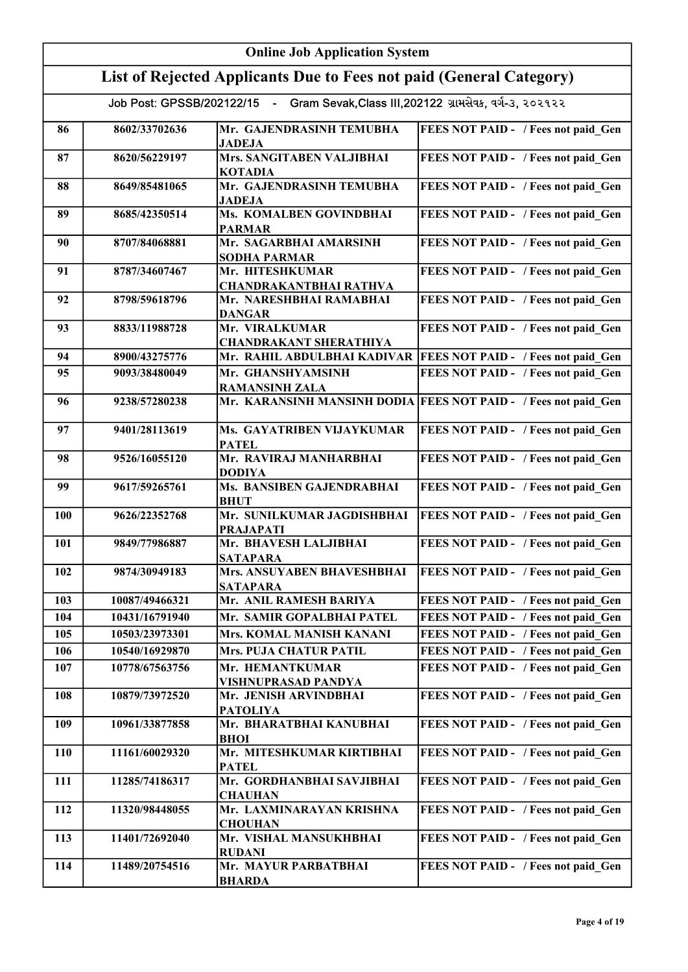| <b>Online Job Application System</b> |                |                                                                                     |                                                                 |
|--------------------------------------|----------------|-------------------------------------------------------------------------------------|-----------------------------------------------------------------|
|                                      |                | List of Rejected Applicants Due to Fees not paid (General Category)                 |                                                                 |
|                                      |                | Job Post: GPSSB/202122/15 - Gram Sevak, Class III, 202122 ગ્રામસેવક, વર્ગ-૩, ૨૦૨૧૨૨ |                                                                 |
| 86                                   | 8602/33702636  | Mr. GAJENDRASINH TEMUBHA<br><b>JADEJA</b>                                           | FEES NOT PAID - / Fees not paid Gen                             |
| 87                                   | 8620/56229197  | Mrs. SANGITABEN VALJIBHAI<br><b>KOTADIA</b>                                         | FEES NOT PAID - / Fees not paid Gen                             |
| 88                                   | 8649/85481065  | Mr. GAJENDRASINH TEMUBHA<br><b>JADEJA</b>                                           | FEES NOT PAID - / Fees not paid_Gen                             |
| 89                                   | 8685/42350514  | Ms. KOMALBEN GOVINDBHAI<br><b>PARMAR</b>                                            | FEES NOT PAID - / Fees not paid Gen                             |
| 90                                   | 8707/84068881  | Mr. SAGARBHAI AMARSINH<br><b>SODHA PARMAR</b>                                       | FEES NOT PAID - / Fees not paid Gen                             |
| 91                                   | 8787/34607467  | Mr. HITESHKUMAR<br><b>CHANDRAKANTBHAI RATHVA</b>                                    | FEES NOT PAID - / Fees not paid_Gen                             |
| 92                                   | 8798/59618796  | Mr. NARESHBHAI RAMABHAI<br><b>DANGAR</b>                                            | FEES NOT PAID - / Fees not paid_Gen                             |
| 93                                   | 8833/11988728  | Mr. VIRALKUMAR<br><b>CHANDRAKANT SHERATHIYA</b>                                     | FEES NOT PAID - / Fees not paid Gen                             |
| 94                                   | 8900/43275776  | Mr. RAHIL ABDULBHAI KADIVAR                                                         | <b>FEES NOT PAID - / Fees not paid_Gen</b>                      |
| 95                                   | 9093/38480049  | Mr. GHANSHYAMSINH<br><b>RAMANSINH ZALA</b>                                          | FEES NOT PAID - / Fees not paid Gen                             |
| 96                                   | 9238/57280238  |                                                                                     | Mr. KARANSINH MANSINH DODIA FEES NOT PAID - / Fees not paid Gen |
| 97                                   | 9401/28113619  | Ms. GAYATRIBEN VIJAYKUMAR<br><b>PATEL</b>                                           | FEES NOT PAID - / Fees not paid Gen                             |
| 98                                   | 9526/16055120  | Mr. RAVIRAJ MANHARBHAI<br><b>DODIYA</b>                                             | FEES NOT PAID - / Fees not paid Gen                             |
| 99                                   | 9617/59265761  | Ms. BANSIBEN GAJENDRABHAI<br><b>BHUT</b>                                            | FEES NOT PAID - / Fees not paid Gen                             |
| 100                                  | 9626/22352768  | Mr. SUNILKUMAR JAGDISHBHAI<br><b>PRAJAPATI</b>                                      | FEES NOT PAID - / Fees not paid Gen                             |
| 101                                  | 9849/77986887  | Mr. BHAVESH LALJIBHAI<br><b>SATAPARA</b>                                            | FEES NOT PAID - / Fees not paid Gen                             |
| 102                                  | 9874/30949183  | Mrs. ANSUYABEN BHAVESHBHAI<br><b>SATAPARA</b>                                       | FEES NOT PAID - / Fees not paid Gen                             |
| 103                                  | 10087/49466321 | Mr. ANIL RAMESH BARIYA                                                              | FEES NOT PAID - / Fees not paid Gen                             |
| 104                                  | 10431/16791940 | Mr. SAMIR GOPALBHAI PATEL                                                           | FEES NOT PAID - / Fees not paid Gen                             |
| 105                                  | 10503/23973301 | Mrs. KOMAL MANISH KANANI                                                            | FEES NOT PAID - / Fees not paid Gen                             |
| 106                                  | 10540/16929870 | Mrs. PUJA CHATUR PATIL                                                              | FEES NOT PAID - / Fees not paid Gen                             |
| 107                                  | 10778/67563756 | Mr. HEMANTKUMAR<br>VISHNUPRASAD PANDYA                                              | FEES NOT PAID - / Fees not paid Gen                             |
| 108                                  | 10879/73972520 | Mr. JENISH ARVINDBHAI<br><b>PATOLIYA</b>                                            | FEES NOT PAID - / Fees not paid Gen                             |
| 109                                  | 10961/33877858 | Mr. BHARATBHAI KANUBHAI<br><b>BHOI</b>                                              | FEES NOT PAID - / Fees not paid Gen                             |
| <b>110</b>                           | 11161/60029320 | Mr. MITESHKUMAR KIRTIBHAI<br><b>PATEL</b>                                           | FEES NOT PAID - / Fees not paid Gen                             |
| 111                                  | 11285/74186317 | Mr. GORDHANBHAI SAVJIBHAI<br><b>CHAUHAN</b>                                         | FEES NOT PAID - / Fees not paid Gen                             |
| 112                                  | 11320/98448055 | Mr. LAXMINARAYAN KRISHNA<br><b>CHOUHAN</b>                                          | FEES NOT PAID - / Fees not paid Gen                             |
| 113                                  | 11401/72692040 | Mr. VISHAL MANSUKHBHAI<br><b>RUDANI</b>                                             | FEES NOT PAID - / Fees not paid Gen                             |
| 114                                  | 11489/20754516 | Mr. MAYUR PARBATBHAI<br><b>BHARDA</b>                                               | FEES NOT PAID - / Fees not paid Gen                             |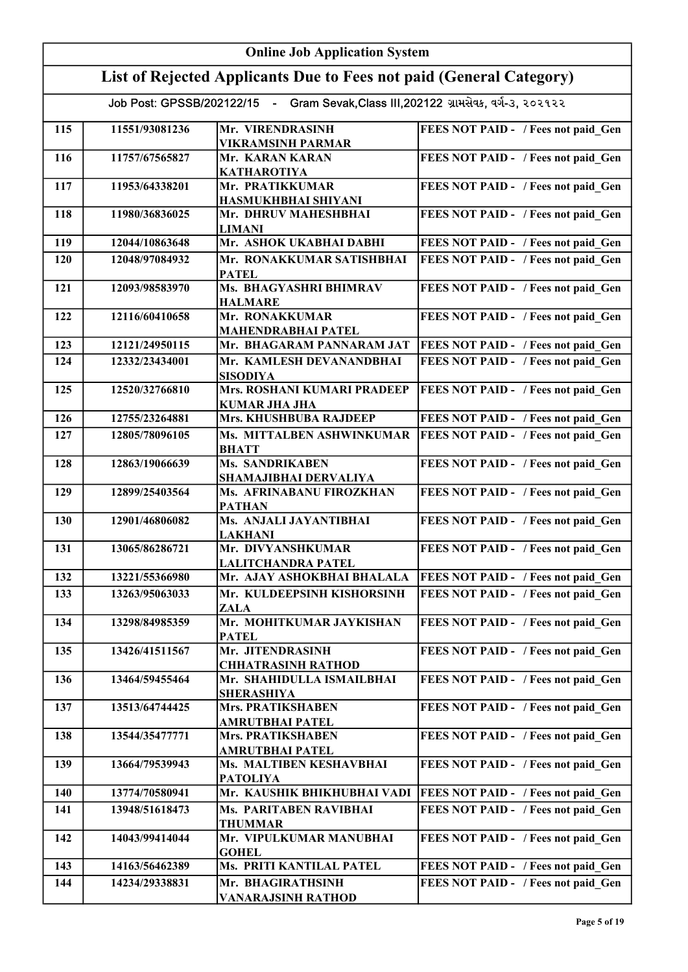|     | <b>Online Job Application System</b> |                                                                                       |                                            |  |
|-----|--------------------------------------|---------------------------------------------------------------------------------------|--------------------------------------------|--|
|     |                                      | List of Rejected Applicants Due to Fees not paid (General Category)                   |                                            |  |
|     |                                      | Job Post: GPSSB/202122/15 - Gram Sevak, Class III, 202122 ग्रामसेवर्ड, वर्ग-3, २०२१२२ |                                            |  |
|     |                                      |                                                                                       |                                            |  |
| 115 | 11551/93081236                       | Mr. VIRENDRASINH<br><b>VIKRAMSINH PARMAR</b>                                          | FEES NOT PAID - / Fees not paid Gen        |  |
| 116 | 11757/67565827                       | Mr. KARAN KARAN                                                                       | FEES NOT PAID - / Fees not paid Gen        |  |
|     |                                      | <b>KATHAROTIYA</b>                                                                    |                                            |  |
| 117 | 11953/64338201                       | Mr. PRATIKKUMAR<br>HASMUKHBHAI SHIYANI                                                | FEES NOT PAID - / Fees not paid_Gen        |  |
| 118 | 11980/36836025                       | Mr. DHRUV MAHESHBHAI                                                                  | FEES NOT PAID - / Fees not paid Gen        |  |
|     |                                      | <b>LIMANI</b>                                                                         |                                            |  |
| 119 | 12044/10863648                       | Mr. ASHOK UKABHAI DABHI                                                               | FEES NOT PAID - / Fees not paid Gen        |  |
| 120 | 12048/97084932                       | Mr. RONAKKUMAR SATISHBHAI<br><b>PATEL</b>                                             | FEES NOT PAID - / Fees not paid Gen        |  |
| 121 | 12093/98583970                       | Ms. BHAGYASHRI BHIMRAV                                                                | FEES NOT PAID - / Fees not paid Gen        |  |
|     |                                      | <b>HALMARE</b>                                                                        |                                            |  |
| 122 | 12116/60410658                       | Mr. RONAKKUMAR<br><b>MAHENDRABHAI PATEL</b>                                           | FEES NOT PAID - / Fees not paid Gen        |  |
| 123 | 12121/24950115                       | Mr. BHAGARAM PANNARAM JAT                                                             | FEES NOT PAID - / Fees not paid Gen        |  |
| 124 | 12332/23434001                       | Mr. KAMLESH DEVANANDBHAI                                                              | FEES NOT PAID - / Fees not paid Gen        |  |
| 125 | 12520/32766810                       | <b>SISODIYA</b><br><b>Mrs. ROSHANI KUMARI PRADEEP</b>                                 | FEES NOT PAID - / Fees not paid Gen        |  |
|     |                                      | <b>KUMAR JHA JHA</b>                                                                  |                                            |  |
| 126 | 12755/23264881                       | Mrs. KHUSHBUBA RAJDEEP                                                                | FEES NOT PAID - / Fees not paid Gen        |  |
| 127 | 12805/78096105                       | Ms. MITTALBEN ASHWINKUMAR                                                             | FEES NOT PAID - / Fees not paid Gen        |  |
| 128 | 12863/19066639                       | <b>BHATT</b><br><b>Ms. SANDRIKABEN</b>                                                | FEES NOT PAID - / Fees not paid_Gen        |  |
|     |                                      | SHAMAJIBHAI DERVALIYA                                                                 |                                            |  |
| 129 | 12899/25403564                       | Ms. AFRINABANU FIROZKHAN<br><b>PATHAN</b>                                             | FEES NOT PAID - / Fees not paid_Gen        |  |
| 130 | 12901/46806082                       | Ms. ANJALI JAYANTIBHAI<br><b>LAKHANI</b>                                              | FEES NOT PAID - / Fees not paid Gen        |  |
| 131 | 13065/86286721                       | Mr. DIVYANSHKUMAR                                                                     | FEES NOT PAID - / Fees not paid Gen        |  |
| 132 | 13221/55366980                       | <b>LALITCHANDRA PATEL</b><br>Mr. AJAY ASHOKBHAI BHALALA                               | <b>FEES NOT PAID - / Fees not paid Gen</b> |  |
| 133 | 13263/95063033                       | Mr. KULDEEPSINH KISHORSINH                                                            | FEES NOT PAID - / Fees not paid Gen        |  |
|     |                                      | <b>ZALA</b>                                                                           |                                            |  |
| 134 | 13298/84985359                       | Mr. MOHITKUMAR JAYKISHAN<br><b>PATEL</b>                                              | FEES NOT PAID - / Fees not paid Gen        |  |
| 135 | 13426/41511567                       | Mr. JITENDRASINH                                                                      | FEES NOT PAID - / Fees not paid Gen        |  |
| 136 | 13464/59455464                       | <b>CHHATRASINH RATHOD</b>                                                             | FEES NOT PAID - / Fees not paid Gen        |  |
|     |                                      | Mr. SHAHIDULLA ISMAILBHAI<br><b>SHERASHIYA</b>                                        |                                            |  |
| 137 | 13513/64744425                       | <b>Mrs. PRATIKSHABEN</b>                                                              | FEES NOT PAID - / Fees not paid Gen        |  |
| 138 | 13544/35477771                       | AMRUTBHAI PATEL<br>Mrs. PRATIKSHABEN                                                  | FEES NOT PAID - / Fees not paid Gen        |  |
|     |                                      | <b>AMRUTBHAI PATEL</b>                                                                |                                            |  |
| 139 | 13664/79539943                       | Ms. MALTIBEN KESHAVBHAI                                                               | FEES NOT PAID - / Fees not paid Gen        |  |
| 140 | 13774/70580941                       | <b>PATOLIYA</b><br>Mr. KAUSHIK BHIKHUBHAI VADI                                        | FEES NOT PAID - / Fees not paid Gen        |  |
| 141 | 13948/51618473                       | Ms. PARITABEN RAVIBHAI                                                                | FEES NOT PAID - / Fees not paid Gen        |  |
|     |                                      | <b>THUMMAR</b>                                                                        |                                            |  |
| 142 | 14043/99414044                       | Mr. VIPULKUMAR MANUBHAI<br><b>GOHEL</b>                                               | FEES NOT PAID - / Fees not paid Gen        |  |
| 143 | 14163/56462389                       | Ms. PRITI KANTILAL PATEL                                                              | FEES NOT PAID - / Fees not paid Gen        |  |
| 144 | 14234/29338831                       | Mr. BHAGIRATHSINH                                                                     | FEES NOT PAID - / Fees not paid Gen        |  |
|     |                                      | VANARAJSINH RATHOD                                                                    |                                            |  |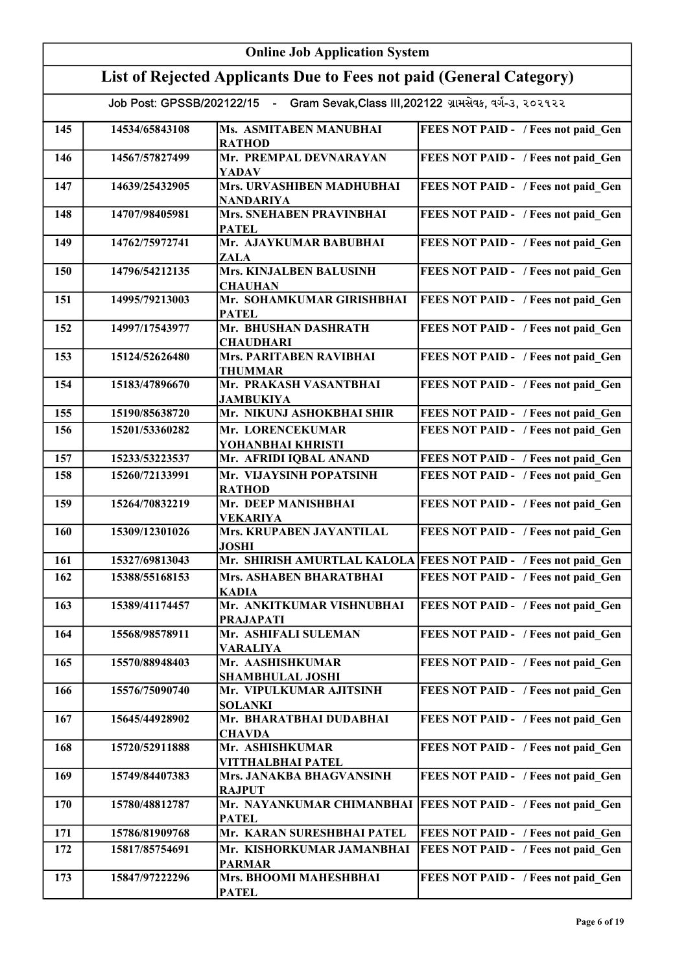| <b>Online Job Application System</b> |                |                                                                                     |                                                                 |
|--------------------------------------|----------------|-------------------------------------------------------------------------------------|-----------------------------------------------------------------|
|                                      |                | List of Rejected Applicants Due to Fees not paid (General Category)                 |                                                                 |
|                                      |                | Job Post: GPSSB/202122/15 - Gram Sevak, Class III, 202122 ગ્રામસેવક, વર્ગ-૩, ૨૦૨૧૨૨ |                                                                 |
| 145                                  | 14534/65843108 | Ms. ASMITABEN MANUBHAI<br><b>RATHOD</b>                                             | FEES NOT PAID - / Fees not paid Gen                             |
| 146                                  | 14567/57827499 | Mr. PREMPAL DEVNARAYAN<br>YADAV                                                     | FEES NOT PAID - / Fees not paid Gen                             |
| 147                                  | 14639/25432905 | Mrs. URVASHIBEN MADHUBHAI<br><b>NANDARIYA</b>                                       | FEES NOT PAID - / Fees not paid_Gen                             |
| 148                                  | 14707/98405981 | <b>Mrs. SNEHABEN PRAVINBHAI</b><br><b>PATEL</b>                                     | FEES NOT PAID - / Fees not paid_Gen                             |
| 149                                  | 14762/75972741 | Mr. AJAYKUMAR BABUBHAI<br>ZALA                                                      | FEES NOT PAID - / Fees not paid Gen                             |
| 150                                  | 14796/54212135 | <b>Mrs. KINJALBEN BALUSINH</b><br><b>CHAUHAN</b>                                    | FEES NOT PAID - / Fees not paid_Gen                             |
| 151                                  | 14995/79213003 | Mr. SOHAMKUMAR GIRISHBHAI<br><b>PATEL</b>                                           | FEES NOT PAID - / Fees not paid Gen                             |
| 152                                  | 14997/17543977 | Mr. BHUSHAN DASHRATH<br><b>CHAUDHARI</b>                                            | FEES NOT PAID - / Fees not paid Gen                             |
| 153                                  | 15124/52626480 | Mrs. PARITABEN RAVIBHAI<br><b>THUMMAR</b>                                           | FEES NOT PAID - / Fees not paid Gen                             |
| 154                                  | 15183/47896670 | Mr. PRAKASH VASANTBHAI<br><b>JAMBUKIYA</b>                                          | FEES NOT PAID - / Fees not paid Gen                             |
| 155                                  | 15190/85638720 | Mr. NIKUNJ ASHOKBHAI SHIR                                                           | FEES NOT PAID - / Fees not paid Gen                             |
| 156                                  | 15201/53360282 | Mr. LORENCEKUMAR<br>YOHANBHAI KHRISTI                                               | FEES NOT PAID - / Fees not paid Gen                             |
| 157                                  | 15233/53223537 | Mr. AFRIDI IQBAL ANAND                                                              | FEES NOT PAID - / Fees not paid Gen                             |
| 158                                  | 15260/72133991 | Mr. VIJAYSINH POPATSINH<br><b>RATHOD</b>                                            | FEES NOT PAID - / Fees not paid Gen                             |
| 159                                  | 15264/70832219 | Mr. DEEP MANISHBHAI<br><b>VEKARIYA</b>                                              | FEES NOT PAID - / Fees not paid_Gen                             |
| 160                                  | 15309/12301026 | Mrs. KRUPABEN JAYANTILAL<br><b>JOSHI</b>                                            | FEES NOT PAID - / Fees not paid Gen                             |
| 161                                  | 15327/69813043 |                                                                                     | Mr. SHIRISH AMURTLAL KALOLA FEES NOT PAID - / Fees not paid Gen |
| 162                                  | 15388/55168153 | Mrs. ASHABEN BHARATBHAI<br><b>KADIA</b>                                             | FEES NOT PAID - / Fees not paid Gen                             |
| 163                                  | 15389/41174457 | Mr. ANKITKUMAR VISHNUBHAI<br><b>PRAJAPATI</b>                                       | FEES NOT PAID - / Fees not paid Gen                             |
| 164                                  | 15568/98578911 | Mr. ASHIFALI SULEMAN<br><b>VARALIYA</b>                                             | FEES NOT PAID - / Fees not paid Gen                             |
| 165                                  | 15570/88948403 | Mr. AASHISHKUMAR<br><b>SHAMBHULAL JOSHI</b>                                         | FEES NOT PAID - / Fees not paid Gen                             |
| 166                                  | 15576/75090740 | Mr. VIPULKUMAR AJITSINH<br><b>SOLANKI</b>                                           | FEES NOT PAID - / Fees not paid Gen                             |
| 167                                  | 15645/44928902 | Mr. BHARATBHAI DUDABHAI<br><b>CHAVDA</b>                                            | FEES NOT PAID - / Fees not paid Gen                             |
| 168                                  | 15720/52911888 | Mr. ASHISHKUMAR<br>VITTHALBHAI PATEL                                                | FEES NOT PAID - / Fees not paid Gen                             |
| 169                                  | 15749/84407383 | Mrs. JANAKBA BHAGVANSINH<br><b>RAJPUT</b>                                           | FEES NOT PAID - / Fees not paid Gen                             |
| 170                                  | 15780/48812787 | Mr. NAYANKUMAR CHIMANBHAI<br><b>PATEL</b>                                           | <b>FEES NOT PAID - / Fees not paid Gen</b>                      |
| 171                                  | 15786/81909768 | Mr. KARAN SURESHBHAI PATEL                                                          | FEES NOT PAID - / Fees not paid Gen                             |
| 172                                  | 15817/85754691 | Mr. KISHORKUMAR JAMANBHAI<br><b>PARMAR</b>                                          | FEES NOT PAID - / Fees not paid Gen                             |
| 173                                  | 15847/97222296 | Mrs. BHOOMI MAHESHBHAI<br><b>PATEL</b>                                              | FEES NOT PAID - / Fees not paid Gen                             |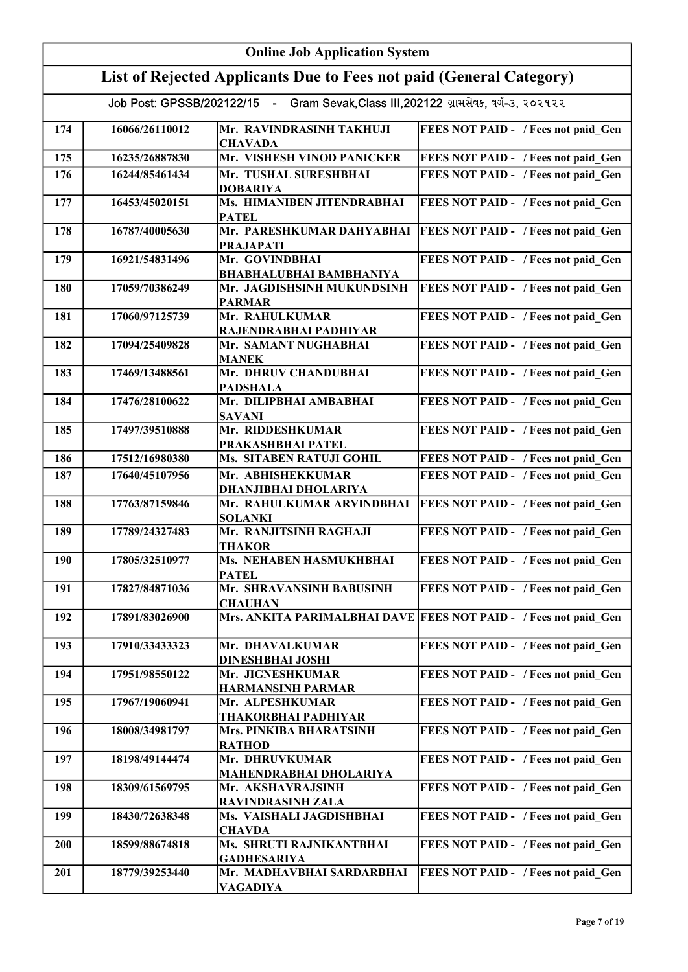|     | <b>Online Job Application System</b>                                |                                                                                     |                                                                    |  |
|-----|---------------------------------------------------------------------|-------------------------------------------------------------------------------------|--------------------------------------------------------------------|--|
|     | List of Rejected Applicants Due to Fees not paid (General Category) |                                                                                     |                                                                    |  |
|     |                                                                     | Job Post: GPSSB/202122/15 - Gram Sevak, Class III, 202122 ગ્રામસેવક, વર્ગ-3, ૨૦૨૧૨૨ |                                                                    |  |
| 174 | 16066/26110012                                                      | Mr. RAVINDRASINH TAKHUJI<br><b>CHAVADA</b>                                          | FEES NOT PAID - / Fees not paid Gen                                |  |
| 175 | 16235/26887830                                                      | Mr. VISHESH VINOD PANICKER                                                          | FEES NOT PAID - / Fees not paid Gen                                |  |
| 176 | 16244/85461434                                                      | Mr. TUSHAL SURESHBHAI<br><b>DOBARIYA</b>                                            | FEES NOT PAID - / Fees not paid Gen                                |  |
| 177 | 16453/45020151                                                      | Ms. HIMANIBEN JITENDRABHAI<br><b>PATEL</b>                                          | FEES NOT PAID - / Fees not paid_Gen                                |  |
| 178 | 16787/40005630                                                      | Mr. PARESHKUMAR DAHYABHAI<br><b>PRAJAPATI</b>                                       | FEES NOT PAID - / Fees not paid_Gen                                |  |
| 179 | 16921/54831496                                                      | Mr. GOVINDBHAI<br><b>BHABHALUBHAI BAMBHANIYA</b>                                    | FEES NOT PAID - / Fees not paid Gen                                |  |
| 180 | 17059/70386249                                                      | Mr. JAGDISHSINH MUKUNDSINH<br><b>PARMAR</b>                                         | FEES NOT PAID - / Fees not paid Gen                                |  |
| 181 | 17060/97125739                                                      | Mr. RAHULKUMAR<br>RAJENDRABHAI PADHIYAR                                             | FEES NOT PAID - / Fees not paid Gen                                |  |
| 182 | 17094/25409828                                                      | Mr. SAMANT NUGHABHAI<br><b>MANEK</b>                                                | FEES NOT PAID - / Fees not paid Gen                                |  |
| 183 | 17469/13488561                                                      | Mr. DHRUV CHANDUBHAI<br><b>PADSHALA</b>                                             | FEES NOT PAID - / Fees not paid Gen                                |  |
| 184 | 17476/28100622                                                      | Mr. DILIPBHAI AMBABHAI<br><b>SAVANI</b>                                             | FEES NOT PAID - / Fees not paid Gen                                |  |
| 185 | 17497/39510888                                                      | Mr. RIDDESHKUMAR<br>PRAKASHBHAI PATEL                                               | FEES NOT PAID - / Fees not paid Gen                                |  |
| 186 | 17512/16980380                                                      | Ms. SITABEN RATUJI GOHIL                                                            | FEES NOT PAID - / Fees not paid Gen                                |  |
| 187 | 17640/45107956                                                      | Mr. ABHISHEKKUMAR<br>DHANJIBHAI DHOLARIYA                                           | FEES NOT PAID - / Fees not paid Gen                                |  |
| 188 | 17763/87159846                                                      | Mr. RAHULKUMAR ARVINDBHAI<br><b>SOLANKI</b>                                         | FEES NOT PAID - / Fees not paid_Gen                                |  |
| 189 | 17789/24327483                                                      | Mr. RANJITSINH RAGHAJI<br><b>THAKOR</b>                                             | FEES NOT PAID - / Fees not paid Gen                                |  |
| 190 | 17805/32510977                                                      | Ms. NEHABEN HASMUKHBHAI<br><b>PATEL</b>                                             | FEES NOT PAID - / Fees not paid Gen                                |  |
| 191 | 17827/84871036                                                      | Mr. SHRAVANSINH BABUSINH<br><b>CHAUHAN</b>                                          | FEES NOT PAID - / Fees not paid Gen                                |  |
| 192 | 17891/83026900                                                      |                                                                                     | Mrs. ANKITA PARIMALBHAI DAVE   FEES NOT PAID - / Fees not paid Gen |  |
| 193 | 17910/33433323                                                      | Mr. DHAVALKUMAR<br><b>DINESHBHAI JOSHI</b>                                          | FEES NOT PAID - / Fees not paid Gen                                |  |
| 194 | 17951/98550122                                                      | Mr. JIGNESHKUMAR<br><b>HARMANSINH PARMAR</b>                                        | FEES NOT PAID - / Fees not paid Gen                                |  |
| 195 | 17967/19060941                                                      | Mr. ALPESHKUMAR<br>THAKORBHAI PADHIYAR                                              | FEES NOT PAID - / Fees not paid Gen                                |  |
| 196 | 18008/34981797                                                      | Mrs. PINKIBA BHARATSINH<br><b>RATHOD</b>                                            | FEES NOT PAID - / Fees not paid Gen                                |  |
| 197 | 18198/49144474                                                      | Mr. DHRUVKUMAR<br>MAHENDRABHAI DHOLARIYA                                            | FEES NOT PAID - / Fees not paid Gen                                |  |
| 198 | 18309/61569795                                                      | Mr. AKSHAYRAJSINH<br><b>RAVINDRASINH ZALA</b>                                       | FEES NOT PAID - / Fees not paid Gen                                |  |
| 199 | 18430/72638348                                                      | Ms. VAISHALI JAGDISHBHAI<br><b>CHAVDA</b>                                           | FEES NOT PAID - / Fees not paid Gen                                |  |
| 200 | 18599/88674818                                                      | Ms. SHRUTI RAJNIKANTBHAI<br><b>GADHESARIYA</b>                                      | FEES NOT PAID - / Fees not paid Gen                                |  |
| 201 | 18779/39253440                                                      | Mr. MADHAVBHAI SARDARBHAI<br>VAGADIYA                                               | FEES NOT PAID - / Fees not paid Gen                                |  |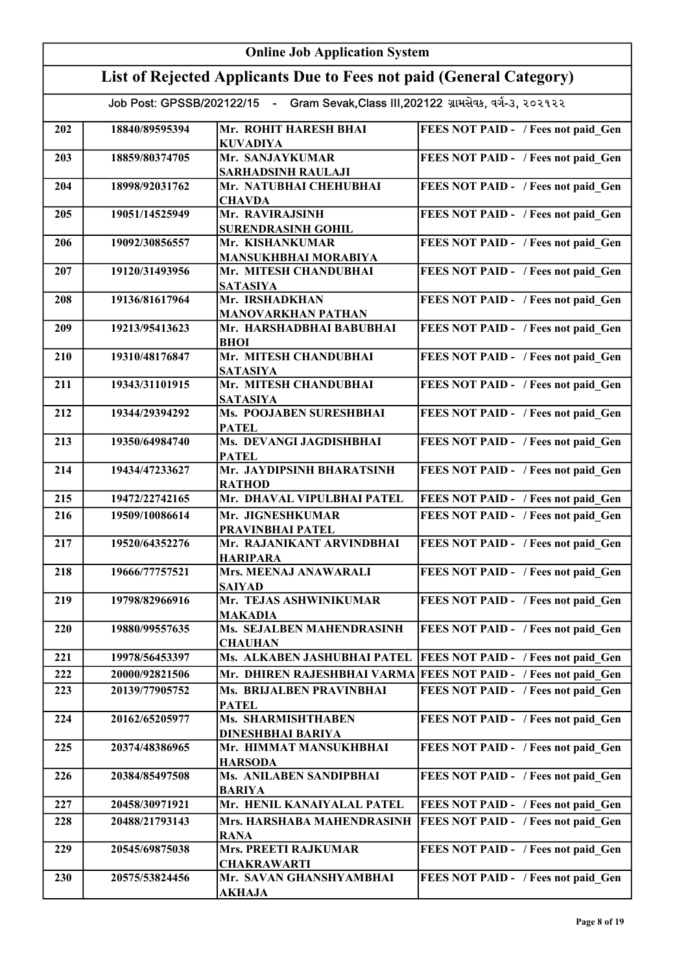|     | <b>Online Job Application System</b> |                                                                                     |                                                                 |  |
|-----|--------------------------------------|-------------------------------------------------------------------------------------|-----------------------------------------------------------------|--|
|     |                                      | List of Rejected Applicants Due to Fees not paid (General Category)                 |                                                                 |  |
|     |                                      | Job Post: GPSSB/202122/15 - Gram Sevak, Class III, 202122 ગ્રામસેવક, વર્ગ-3, ૨૦૨૧૨૨ |                                                                 |  |
|     |                                      |                                                                                     |                                                                 |  |
| 202 | 18840/89595394                       | Mr. ROHIT HARESH BHAI<br><b>KUVADIYA</b>                                            | FEES NOT PAID - / Fees not paid Gen                             |  |
| 203 | 18859/80374705                       | Mr. SANJAYKUMAR<br><b>SARHADSINH RAULAJI</b>                                        | FEES NOT PAID - / Fees not paid_Gen                             |  |
| 204 | 18998/92031762                       | Mr. NATUBHAI CHEHUBHAI<br><b>CHAVDA</b>                                             | FEES NOT PAID - / Fees not paid_Gen                             |  |
| 205 | 19051/14525949                       | Mr. RAVIRAJSINH<br><b>SURENDRASINH GOHIL</b>                                        | FEES NOT PAID - / Fees not paid_Gen                             |  |
| 206 | 19092/30856557                       | Mr. KISHANKUMAR<br>MANSUKHBHAI MORABIYA                                             | FEES NOT PAID - / Fees not paid Gen                             |  |
| 207 | 19120/31493956                       | Mr. MITESH CHANDUBHAI<br><b>SATASIYA</b>                                            | FEES NOT PAID - / Fees not paid_Gen                             |  |
| 208 | 19136/81617964                       | Mr. IRSHADKHAN<br><b>MANOVARKHAN PATHAN</b>                                         | FEES NOT PAID - / Fees not paid Gen                             |  |
| 209 | 19213/95413623                       | Mr. HARSHADBHAI BABUBHAI<br><b>BHOI</b>                                             | FEES NOT PAID - / Fees not paid_Gen                             |  |
| 210 | 19310/48176847                       | Mr. MITESH CHANDUBHAI<br><b>SATASIYA</b>                                            | FEES NOT PAID - / Fees not paid Gen                             |  |
| 211 | 19343/31101915                       | Mr. MITESH CHANDUBHAI<br><b>SATASIYA</b>                                            | FEES NOT PAID - / Fees not paid Gen                             |  |
| 212 | 19344/29394292                       | Ms. POOJABEN SURESHBHAI<br><b>PATEL</b>                                             | FEES NOT PAID - / Fees not paid Gen                             |  |
| 213 | 19350/64984740                       | Ms. DEVANGI JAGDISHBHAI<br><b>PATEL</b>                                             | FEES NOT PAID - / Fees not paid Gen                             |  |
| 214 | 19434/47233627                       | Mr. JAYDIPSINH BHARATSINH<br><b>RATHOD</b>                                          | FEES NOT PAID - / Fees not paid Gen                             |  |
| 215 | 19472/22742165                       | Mr. DHAVAL VIPULBHAI PATEL                                                          | FEES NOT PAID - / Fees not paid_Gen                             |  |
| 216 | 19509/10086614                       | Mr. JIGNESHKUMAR<br>PRAVINBHAI PATEL                                                | FEES NOT PAID - / Fees not paid Gen                             |  |
| 217 | 19520/64352276                       | Mr. RAJANIKANT ARVINDBHAI<br><b>HARIPARA</b>                                        | FEES NOT PAID - / Fees not paid Gen                             |  |
| 218 | 19666/77757521                       | Mrs. MEENAJ ANAWARALI<br><b>SAIYAD</b>                                              | FEES NOT PAID - / Fees not paid Gen                             |  |
| 219 | 19798/82966916                       | Mr. TEJAS ASHWINIKUMAR                                                              | FEES NOT PAID - / Fees not paid Gen                             |  |
| 220 | 19880/99557635                       | <b>MAKADIA</b><br>Ms. SEJALBEN MAHENDRASINH                                         | FEES NOT PAID - / Fees not paid Gen                             |  |
| 221 | 19978/56453397                       | <b>CHAUHAN</b><br>Ms. ALKABEN JASHUBHAI PATEL                                       | <b>FEES NOT PAID - / Fees not paid Gen</b>                      |  |
| 222 | 20000/92821506                       |                                                                                     | Mr. DHIREN RAJESHBHAI VARMA FEES NOT PAID - / Fees not paid Gen |  |
| 223 | 20139/77905752                       | Ms. BRIJALBEN PRAVINBHAI                                                            | FEES NOT PAID - / Fees not paid Gen                             |  |
| 224 | 20162/65205977                       | <b>PATEL</b><br>Ms. SHARMISHTHABEN                                                  | FEES NOT PAID - / Fees not paid Gen                             |  |
| 225 | 20374/48386965                       | <b>DINESHBHAI BARIYA</b><br>Mr. HIMMAT MANSUKHBHAI                                  | FEES NOT PAID - / Fees not paid Gen                             |  |
| 226 | 20384/85497508                       | <b>HARSODA</b><br>Ms. ANILABEN SANDIPBHAI                                           | FEES NOT PAID - / Fees not paid Gen                             |  |
| 227 | 20458/30971921                       | <b>BARIYA</b><br>Mr. HENIL KANAIYALAL PATEL                                         | FEES NOT PAID - / Fees not paid Gen                             |  |
| 228 | 20488/21793143                       | Mrs. HARSHABA MAHENDRASINH                                                          | FEES NOT PAID - / Fees not paid Gen                             |  |
| 229 | 20545/69875038                       | <b>RANA</b><br>Mrs. PREETI RAJKUMAR                                                 | FEES NOT PAID - / Fees not paid Gen                             |  |
|     |                                      | <b>CHAKRAWARTI</b>                                                                  |                                                                 |  |
| 230 | 20575/53824456                       | Mr. SAVAN GHANSHYAMBHAI<br><u>AKHAJA</u>                                            | FEES NOT PAID - / Fees not paid Gen                             |  |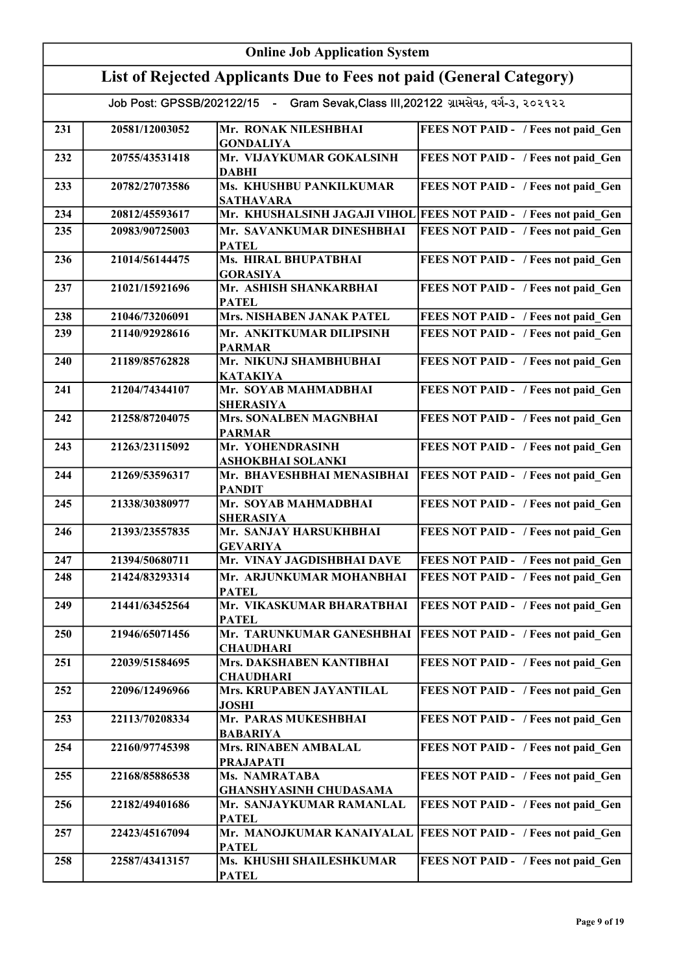|     | <b>Online Job Application System</b> |                                                                                     |                                                                  |  |
|-----|--------------------------------------|-------------------------------------------------------------------------------------|------------------------------------------------------------------|--|
|     |                                      | List of Rejected Applicants Due to Fees not paid (General Category)                 |                                                                  |  |
|     |                                      | Job Post: GPSSB/202122/15 - Gram Sevak, Class III, 202122 ગ્રામસેવક, વર્ગ-૩, ૨૦૨૧૨૨ |                                                                  |  |
| 231 | 20581/12003052                       | Mr. RONAK NILESHBHAI<br><b>GONDALIYA</b>                                            | FEES NOT PAID - / Fees not paid Gen                              |  |
| 232 | 20755/43531418                       | Mr. VIJAYKUMAR GOKALSINH<br><b>DABHI</b>                                            | FEES NOT PAID - / Fees not paid Gen                              |  |
| 233 | 20782/27073586                       | Ms. KHUSHBU PANKILKUMAR<br><b>SATHAVARA</b>                                         | FEES NOT PAID - / Fees not paid Gen                              |  |
| 234 | 20812/45593617                       |                                                                                     | Mr. KHUSHALSINH JAGAJI VIHOL FEES NOT PAID - / Fees not paid Gen |  |
| 235 | 20983/90725003                       | Mr. SAVANKUMAR DINESHBHAI<br><b>PATEL</b>                                           | FEES NOT PAID - / Fees not paid Gen                              |  |
| 236 | 21014/56144475                       | Ms. HIRAL BHUPATBHAI<br><b>GORASIYA</b>                                             | FEES NOT PAID - / Fees not paid Gen                              |  |
| 237 | 21021/15921696                       | Mr. ASHISH SHANKARBHAI<br><b>PATEL</b>                                              | FEES NOT PAID - / Fees not paid Gen                              |  |
| 238 | 21046/73206091                       | Mrs. NISHABEN JANAK PATEL                                                           | FEES NOT PAID - / Fees not paid Gen                              |  |
| 239 | 21140/92928616                       | Mr. ANKITKUMAR DILIPSINH<br><b>PARMAR</b>                                           | FEES NOT PAID - / Fees not paid Gen                              |  |
| 240 | 21189/85762828                       | Mr. NIKUNJ SHAMBHUBHAI<br><b>KATAKIYA</b>                                           | FEES NOT PAID - / Fees not paid Gen                              |  |
| 241 | 21204/74344107                       | Mr. SOYAB MAHMADBHAI<br><b>SHERASIYA</b>                                            | FEES NOT PAID - / Fees not paid Gen                              |  |
| 242 | 21258/87204075                       | Mrs. SONALBEN MAGNBHAI<br><b>PARMAR</b>                                             | FEES NOT PAID - / Fees not paid Gen                              |  |
| 243 | 21263/23115092                       | Mr. YOHENDRASINH<br><b>ASHOKBHAI SOLANKI</b>                                        | FEES NOT PAID - / Fees not paid Gen                              |  |
| 244 | 21269/53596317                       | Mr. BHAVESHBHAI MENASIBHAI<br><b>PANDIT</b>                                         | FEES NOT PAID - / Fees not paid Gen                              |  |
| 245 | 21338/30380977                       | Mr. SOYAB MAHMADBHAI<br><b>SHERASIYA</b>                                            | FEES NOT PAID - / Fees not paid Gen                              |  |
| 246 | 21393/23557835                       | Mr. SANJAY HARSUKHBHAI<br><b>GEVARIYA</b>                                           | FEES NOT PAID - / Fees not paid Gen                              |  |
| 247 | 21394/50680711                       | Mr. VINAY JAGDISHBHAI DAVE                                                          | FEES NOT PAID - / Fees not paid_Gen                              |  |
| 248 | 21424/83293314                       | Mr. ARJUNKUMAR MOHANBHAI<br><b>PATEL</b>                                            | FEES NOT PAID - / Fees not paid Gen                              |  |
| 249 | 21441/63452564                       | Mr. VIKASKUMAR BHARATBHAI<br><b>PATEL</b>                                           | FEES NOT PAID - / Fees not paid Gen                              |  |
| 250 | 21946/65071456                       | Mr. TARUNKUMAR GANESHBHAI<br><b>CHAUDHARI</b>                                       | <b>FEES NOT PAID - / Fees not paid Gen</b>                       |  |
| 251 | 22039/51584695                       | Mrs. DAKSHABEN KANTIBHAI<br><b>CHAUDHARI</b>                                        | FEES NOT PAID - / Fees not paid Gen                              |  |
| 252 | 22096/12496966                       | Mrs. KRUPABEN JAYANTILAL<br><b>JOSHI</b>                                            | FEES NOT PAID - / Fees not paid_Gen                              |  |
| 253 | 22113/70208334                       | Mr. PARAS MUKESHBHAI<br><b>BABARIYA</b>                                             | FEES NOT PAID - / Fees not paid Gen                              |  |
| 254 | 22160/97745398                       | Mrs. RINABEN AMBALAL<br><b>PRAJAPATI</b>                                            | FEES NOT PAID - / Fees not paid Gen                              |  |
| 255 | 22168/85886538                       | Ms. NAMRATABA<br><b>GHANSHYASINH CHUDASAMA</b>                                      | FEES NOT PAID - / Fees not paid Gen                              |  |
| 256 | 22182/49401686                       | Mr. SANJAYKUMAR RAMANLAL<br><b>PATEL</b>                                            | FEES NOT PAID - / Fees not paid Gen                              |  |
| 257 | 22423/45167094                       | Mr. MANOJKUMAR KANAIYALAL<br><b>PATEL</b>                                           | <b>FEES NOT PAID - / Fees not paid Gen</b>                       |  |
| 258 | 22587/43413157                       | Ms. KHUSHI SHAILESHKUMAR<br><b>PATEL</b>                                            | FEES NOT PAID - / Fees not paid Gen                              |  |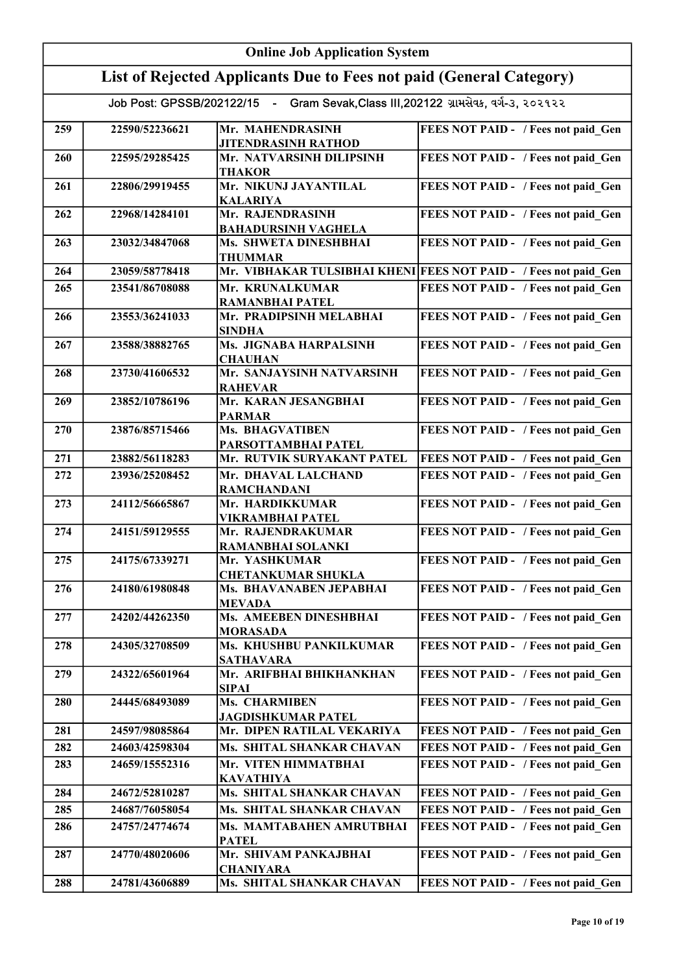|     | <b>Online Job Application System</b> |                                                                                     |                                                                  |  |
|-----|--------------------------------------|-------------------------------------------------------------------------------------|------------------------------------------------------------------|--|
|     |                                      | List of Rejected Applicants Due to Fees not paid (General Category)                 |                                                                  |  |
|     |                                      | Job Post: GPSSB/202122/15 - Gram Sevak, Class III, 202122 ગ્રામસેવક, વર્ગ-૩, ૨૦૨૧૨૨ |                                                                  |  |
|     |                                      |                                                                                     |                                                                  |  |
| 259 | 22590/52236621                       | Mr. MAHENDRASINH<br><b>JITENDRASINH RATHOD</b>                                      | FEES NOT PAID - / Fees not paid Gen                              |  |
| 260 | 22595/29285425                       | Mr. NATVARSINH DILIPSINH<br><b>THAKOR</b>                                           | FEES NOT PAID - / Fees not paid Gen                              |  |
| 261 | 22806/29919455                       | Mr. NIKUNJ JAYANTILAL<br><b>KALARIYA</b>                                            | FEES NOT PAID - / Fees not paid Gen                              |  |
| 262 | 22968/14284101                       | Mr. RAJENDRASINH<br><b>BAHADURSINH VAGHELA</b>                                      | FEES NOT PAID - / Fees not paid_Gen                              |  |
| 263 | 23032/34847068                       | Ms. SHWETA DINESHBHAI<br><b>THUMMAR</b>                                             | FEES NOT PAID - / Fees not paid Gen                              |  |
| 264 | 23059/58778418                       |                                                                                     | Mr. VIBHAKAR TULSIBHAI KHENI FEES NOT PAID - / Fees not paid Gen |  |
| 265 | 23541/86708088                       | Mr. KRUNALKUMAR<br><b>RAMANBHAI PATEL</b>                                           | FEES NOT PAID - / Fees not paid_Gen                              |  |
| 266 | 23553/36241033                       | Mr. PRADIPSINH MELABHAI<br><b>SINDHA</b>                                            | FEES NOT PAID - / Fees not paid Gen                              |  |
| 267 | 23588/38882765                       | Ms. JIGNABA HARPALSINH<br><b>CHAUHAN</b>                                            | FEES NOT PAID - / Fees not paid Gen                              |  |
| 268 | 23730/41606532                       | Mr. SANJAYSINH NATVARSINH<br><b>RAHEVAR</b>                                         | FEES NOT PAID - / Fees not paid Gen                              |  |
| 269 | 23852/10786196                       | Mr. KARAN JESANGBHAI<br><b>PARMAR</b>                                               | FEES NOT PAID - / Fees not paid Gen                              |  |
| 270 | 23876/85715466                       | Ms. BHAGVATIBEN<br>PARSOTTAMBHAI PATEL                                              | FEES NOT PAID - / Fees not paid Gen                              |  |
| 271 | 23882/56118283                       | Mr. RUTVIK SURYAKANT PATEL                                                          | FEES NOT PAID - / Fees not paid_Gen                              |  |
| 272 | 23936/25208452                       | Mr. DHAVAL LALCHAND<br><b>RAMCHANDANI</b>                                           | FEES NOT PAID - / Fees not paid Gen                              |  |
| 273 | 24112/56665867                       | Mr. HARDIKKUMAR                                                                     | FEES NOT PAID - / Fees not paid Gen                              |  |
| 274 | 24151/59129555                       | <b>VIKRAMBHAI PATEL</b><br>Mr. RAJENDRAKUMAR                                        | FEES NOT PAID - / Fees not paid Gen                              |  |
| 275 | 24175/67339271                       | <b>RAMANBHAI SOLANKI</b><br>Mr. YASHKUMAR                                           | FEES NOT PAID - / Fees not paid Gen                              |  |
| 276 | 24180/61980848                       | <b>CHETANKUMAR SHUKLA</b><br>Ms. BHAVANABEN JEPABHAI                                | FEES NOT PAID - / Fees not paid Gen                              |  |
| 277 | 24202/44262350                       | <b>MEVADA</b><br>Ms. AMEEBEN DINESHBHAI                                             | FEES NOT PAID - / Fees not paid Gen                              |  |
| 278 | 24305/32708509                       | <b>MORASADA</b><br>Ms. KHUSHBU PANKILKUMAR                                          | FEES NOT PAID - / Fees not paid Gen                              |  |
| 279 | 24322/65601964                       | <b>SATHAVARA</b><br>Mr. ARIFBHAI BHIKHANKHAN                                        | FEES NOT PAID - / Fees not paid Gen                              |  |
| 280 | 24445/68493089                       | <b>SIPAI</b><br>Ms. CHARMIBEN                                                       | FEES NOT PAID - / Fees not paid Gen                              |  |
| 281 | 24597/98085864                       | <b>JAGDISHKUMAR PATEL</b><br>Mr. DIPEN RATILAL VEKARIYA                             | FEES NOT PAID - / Fees not paid Gen                              |  |
| 282 | 24603/42598304                       | Ms. SHITAL SHANKAR CHAVAN                                                           | FEES NOT PAID - / Fees not paid Gen                              |  |
| 283 | 24659/15552316                       | Mr. VITEN HIMMATBHAI                                                                | FEES NOT PAID - / Fees not paid Gen                              |  |
|     |                                      | <b>KAVATHIYA</b>                                                                    |                                                                  |  |
| 284 | 24672/52810287                       | Ms. SHITAL SHANKAR CHAVAN                                                           | FEES NOT PAID - / Fees not paid Gen                              |  |
| 285 | 24687/76058054                       | Ms. SHITAL SHANKAR CHAVAN                                                           | FEES NOT PAID - / Fees not paid Gen                              |  |
| 286 | 24757/24774674                       | Ms. MAMTABAHEN AMRUTBHAI<br><b>PATEL</b>                                            | FEES NOT PAID - / Fees not paid Gen                              |  |
| 287 | 24770/48020606                       | Mr. SHIVAM PANKAJBHAI<br><b>CHANIYARA</b>                                           | FEES NOT PAID - / Fees not paid Gen                              |  |
| 288 | 24781/43606889                       | Ms. SHITAL SHANKAR CHAVAN                                                           | FEES NOT PAID - / Fees not paid Gen                              |  |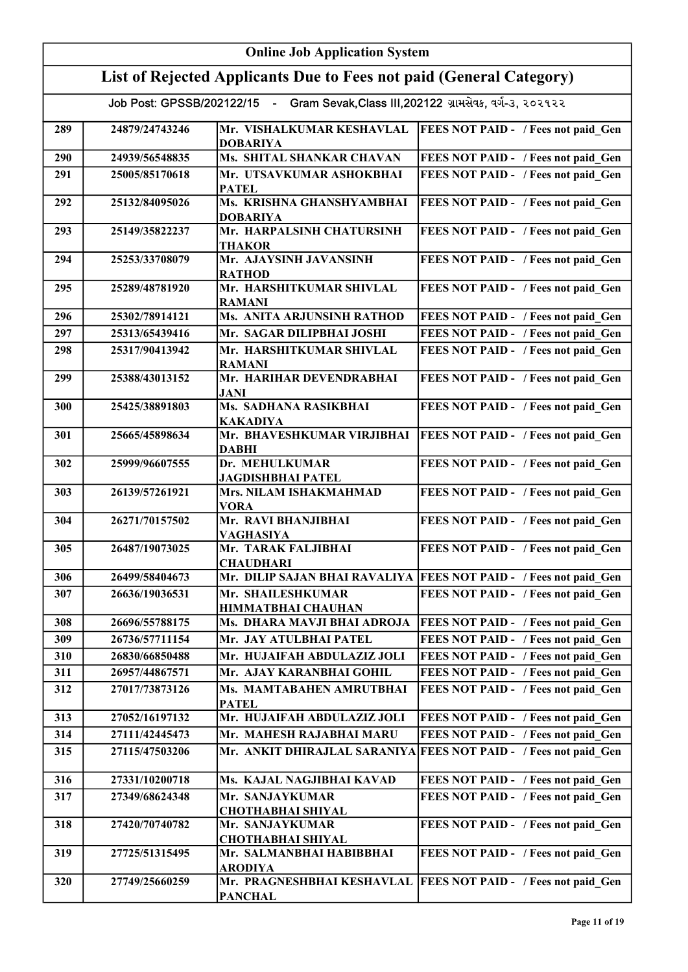| <b>Online Job Application System</b> |                |                                                                                     |                                                                     |
|--------------------------------------|----------------|-------------------------------------------------------------------------------------|---------------------------------------------------------------------|
|                                      |                | List of Rejected Applicants Due to Fees not paid (General Category)                 |                                                                     |
|                                      |                | Job Post: GPSSB/202122/15 - Gram Sevak, Class III, 202122 ગ્રામસેવક, વર્ગ-૩, ૨૦૨૧૨૨ |                                                                     |
| 289                                  | 24879/24743246 | Mr. VISHALKUMAR KESHAVLAL<br><b>DOBARIYA</b>                                        | <b>FEES NOT PAID - / Fees not paid Gen</b>                          |
| 290                                  | 24939/56548835 | Ms. SHITAL SHANKAR CHAVAN                                                           | FEES NOT PAID - / Fees not paid Gen                                 |
| 291                                  | 25005/85170618 | Mr. UTSAVKUMAR ASHOKBHAI<br><b>PATEL</b>                                            | FEES NOT PAID - / Fees not paid Gen                                 |
| 292                                  | 25132/84095026 | Ms. KRISHNA GHANSHYAMBHAI<br><b>DOBARIYA</b>                                        | FEES NOT PAID - / Fees not paid Gen                                 |
| 293                                  | 25149/35822237 | Mr. HARPALSINH CHATURSINH<br><b>THAKOR</b>                                          | FEES NOT PAID - / Fees not paid_Gen                                 |
| 294                                  | 25253/33708079 | Mr. AJAYSINH JAVANSINH<br><b>RATHOD</b>                                             | FEES NOT PAID - / Fees not paid Gen                                 |
| 295                                  | 25289/48781920 | Mr. HARSHITKUMAR SHIVLAL<br><b>RAMANI</b>                                           | FEES NOT PAID - / Fees not paid Gen                                 |
| 296                                  | 25302/78914121 | <b>Ms. ANITA ARJUNSINH RATHOD</b>                                                   | FEES NOT PAID - / Fees not paid Gen                                 |
| 297                                  | 25313/65439416 | Mr. SAGAR DILIPBHAI JOSHI                                                           | FEES NOT PAID - / Fees not paid Gen                                 |
| 298                                  | 25317/90413942 | Mr. HARSHITKUMAR SHIVLAL<br><b>RAMANI</b>                                           | FEES NOT PAID - / Fees not paid Gen                                 |
| 299                                  | 25388/43013152 | Mr. HARIHAR DEVENDRABHAI<br><b>JANI</b>                                             | FEES NOT PAID - / Fees not paid Gen                                 |
| 300                                  | 25425/38891803 | Ms. SADHANA RASIKBHAI<br><b>KAKADIYA</b>                                            | FEES NOT PAID - / Fees not paid_Gen                                 |
| 301                                  | 25665/45898634 | Mr. BHAVESHKUMAR VIRJIBHAI<br><b>DABHI</b>                                          | FEES NOT PAID - / Fees not paid_Gen                                 |
| 302                                  | 25999/96607555 | Dr. MEHULKUMAR<br><b>JAGDISHBHAI PATEL</b>                                          | FEES NOT PAID - / Fees not paid_Gen                                 |
| 303                                  | 26139/57261921 | Mrs. NILAM ISHAKMAHMAD<br><b>VORA</b>                                               | FEES NOT PAID - / Fees not paid Gen                                 |
| 304                                  | 26271/70157502 | Mr. RAVI BHANJIBHAI<br><b>VAGHASIYA</b>                                             | FEES NOT PAID - / Fees not paid_Gen                                 |
| 305                                  | 26487/19073025 | Mr. TARAK FALJIBHAI<br><b>CHAUDHARI</b>                                             | FEES NOT PAID - / Fees not paid Gen                                 |
| 306                                  | 26499/58404673 |                                                                                     | Mr. DILIP SAJAN BHAI RAVALIYA   FEES NOT PAID - / Fees not paid Gen |
| 307                                  | 26636/19036531 | Mr. SHAILESHKUMAR<br><b>HIMMATBHAI CHAUHAN</b>                                      | FEES NOT PAID - / Fees not paid Gen                                 |
| 308                                  | 26696/55788175 | Ms. DHARA MAVJI BHAI ADROJA                                                         | FEES NOT PAID - / Fees not paid Gen                                 |
| 309                                  | 26736/57711154 | Mr. JAY ATULBHAI PATEL                                                              | FEES NOT PAID - / Fees not paid Gen                                 |
| 310                                  | 26830/66850488 | Mr. HUJAIFAH ABDULAZIZ JOLI                                                         | FEES NOT PAID - / Fees not paid Gen                                 |
| 311                                  | 26957/44867571 | Mr. AJAY KARANBHAI GOHIL                                                            | FEES NOT PAID - / Fees not paid Gen                                 |
| 312                                  | 27017/73873126 | Ms. MAMTABAHEN AMRUTBHAI<br><b>PATEL</b>                                            | FEES NOT PAID - / Fees not paid Gen                                 |
| 313                                  | 27052/16197132 | Mr. HUJAIFAH ABDULAZIZ JOLI                                                         | FEES NOT PAID - / Fees not paid Gen                                 |
| 314                                  | 27111/42445473 | Mr. MAHESH RAJABHAI MARU                                                            | FEES NOT PAID - / Fees not paid Gen                                 |
| 315                                  | 27115/47503206 |                                                                                     | Mr. ANKIT DHIRAJLAL SARANIYA FEES NOT PAID - / Fees not paid Gen    |
| 316                                  | 27331/10200718 | Ms. KAJAL NAGJIBHAI KAVAD                                                           | FEES NOT PAID - / Fees not paid Gen                                 |
| 317                                  | 27349/68624348 | Mr. SANJAYKUMAR<br><b>CHOTHABHAI SHIYAL</b>                                         | FEES NOT PAID - / Fees not paid Gen                                 |
| 318                                  | 27420/70740782 | Mr. SANJAYKUMAR<br><b>CHOTHABHAI SHIYAL</b>                                         | FEES NOT PAID - / Fees not paid Gen                                 |
| 319                                  | 27725/51315495 | Mr. SALMANBHAI HABIBBHAI<br><b>ARODIYA</b>                                          | FEES NOT PAID - / Fees not paid Gen                                 |
| 320                                  | 27749/25660259 | Mr. PRAGNESHBHAI KESHAVLAL<br><b>PANCHAL</b>                                        | <b>FEES NOT PAID - / Fees not paid Gen</b>                          |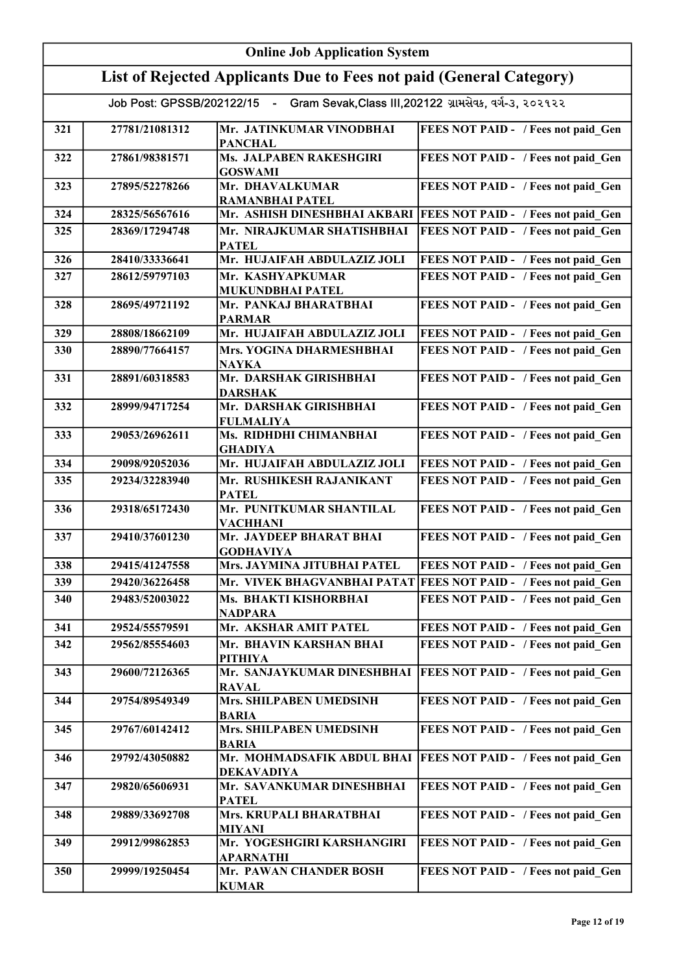|     | <b>Online Job Application System</b> |                                                                                     |                                                                 |  |
|-----|--------------------------------------|-------------------------------------------------------------------------------------|-----------------------------------------------------------------|--|
|     |                                      | List of Rejected Applicants Due to Fees not paid (General Category)                 |                                                                 |  |
|     |                                      | Job Post: GPSSB/202122/15 - Gram Sevak, Class III, 202122 ગ્રામસેવક, વર્ગ-૩, ૨૦૨૧૨૨ |                                                                 |  |
| 321 | 27781/21081312                       | Mr. JATINKUMAR VINODBHAI<br><b>PANCHAL</b>                                          | FEES NOT PAID - / Fees not paid Gen                             |  |
| 322 | 27861/98381571                       | <b>Ms. JALPABEN RAKESHGIRI</b><br><b>GOSWAMI</b>                                    | FEES NOT PAID - / Fees not paid Gen                             |  |
| 323 | 27895/52278266                       | Mr. DHAVALKUMAR<br><b>RAMANBHAI PATEL</b>                                           | FEES NOT PAID - / Fees not paid Gen                             |  |
| 324 | 28325/56567616                       | Mr. ASHISH DINESHBHAI AKBARI                                                        | <b>FEES NOT PAID - / Fees not paid Gen</b>                      |  |
| 325 | 28369/17294748                       | Mr. NIRAJKUMAR SHATISHBHAI<br><b>PATEL</b>                                          | FEES NOT PAID - / Fees not paid Gen                             |  |
| 326 | 28410/33336641                       | Mr. HUJAIFAH ABDULAZIZ JOLI                                                         | FEES NOT PAID - / Fees not paid_Gen                             |  |
| 327 | 28612/59797103                       | Mr. KASHYAPKUMAR<br>MUKUNDBHAI PATEL                                                | FEES NOT PAID - / Fees not paid Gen                             |  |
| 328 | 28695/49721192                       | Mr. PANKAJ BHARATBHAI<br><b>PARMAR</b>                                              | FEES NOT PAID - / Fees not paid Gen                             |  |
| 329 | 28808/18662109                       | Mr. HUJAIFAH ABDULAZIZ JOLI                                                         | FEES NOT PAID - / Fees not paid Gen                             |  |
| 330 | 28890/77664157                       | Mrs. YOGINA DHARMESHBHAI<br><b>NAYKA</b>                                            | FEES NOT PAID - / Fees not paid Gen                             |  |
| 331 | 28891/60318583                       | Mr. DARSHAK GIRISHBHAI<br><b>DARSHAK</b>                                            | FEES NOT PAID - / Fees not paid Gen                             |  |
| 332 | 28999/94717254                       | Mr. DARSHAK GIRISHBHAI<br><b>FULMALIYA</b>                                          | FEES NOT PAID - / Fees not paid Gen                             |  |
| 333 | 29053/26962611                       | Ms. RIDHDHI CHIMANBHAI<br><b>GHADIYA</b>                                            | FEES NOT PAID - / Fees not paid_Gen                             |  |
| 334 | 29098/92052036                       | Mr. HUJAIFAH ABDULAZIZ JOLI                                                         | FEES NOT PAID - / Fees not paid Gen                             |  |
| 335 | 29234/32283940                       | Mr. RUSHIKESH RAJANIKANT<br><b>PATEL</b>                                            | FEES NOT PAID - / Fees not paid Gen                             |  |
| 336 | 29318/65172430                       | Mr. PUNITKUMAR SHANTILAL<br><b>VACHHANI</b>                                         | FEES NOT PAID - / Fees not paid Gen                             |  |
| 337 | 29410/37601230                       | Mr. JAYDEEP BHARAT BHAI<br><b>GODHAVIYA</b>                                         | FEES NOT PAID - / Fees not paid Gen                             |  |
| 338 | 29415/41247558                       | Mrs. JAYMINA JITUBHAI PATEL                                                         | FEES NOT PAID - / Fees not paid Gen                             |  |
| 339 | 29420/36226458                       |                                                                                     | Mr. VIVEK BHAGVANBHAI PATAT FEES NOT PAID - / Fees not paid Gen |  |
| 340 | 29483/52003022                       | Ms. BHAKTI KISHORBHAI<br><b>NADPARA</b>                                             | FEES NOT PAID - / Fees not paid Gen                             |  |
| 341 | 29524/55579591                       | Mr. AKSHAR AMIT PATEL                                                               | FEES NOT PAID - / Fees not paid Gen                             |  |
| 342 | 29562/85554603                       | Mr. BHAVIN KARSHAN BHAI<br><b>PITHIYA</b>                                           | FEES NOT PAID - / Fees not paid Gen                             |  |
| 343 | 29600/72126365                       | Mr. SANJAYKUMAR DINESHBHAI<br><b>RAVAL</b>                                          | FEES NOT PAID - / Fees not paid Gen                             |  |
| 344 | 29754/89549349                       | Mrs. SHILPABEN UMEDSINH<br><b>BARIA</b>                                             | FEES NOT PAID - / Fees not paid Gen                             |  |
| 345 | 29767/60142412                       | Mrs. SHILPABEN UMEDSINH<br><b>BARIA</b>                                             | FEES NOT PAID - / Fees not paid Gen                             |  |
| 346 | 29792/43050882                       | Mr. MOHMADSAFIK ABDUL BHAI<br><b>DEKAVADIYA</b>                                     | <b>FEES NOT PAID - / Fees not paid Gen</b>                      |  |
| 347 | 29820/65606931                       | Mr. SAVANKUMAR DINESHBHAI<br><b>PATEL</b>                                           | FEES NOT PAID - / Fees not paid Gen                             |  |
| 348 | 29889/33692708                       | Mrs. KRUPALI BHARATBHAI<br><b>MIYANI</b>                                            | FEES NOT PAID - / Fees not paid Gen                             |  |
| 349 | 29912/99862853                       | Mr. YOGESHGIRI KARSHANGIRI<br>APARNATHI                                             | FEES NOT PAID - / Fees not paid Gen                             |  |
| 350 | 29999/19250454                       | Mr. PAWAN CHANDER BOSH<br><b>KUMAR</b>                                              | FEES NOT PAID - / Fees not paid Gen                             |  |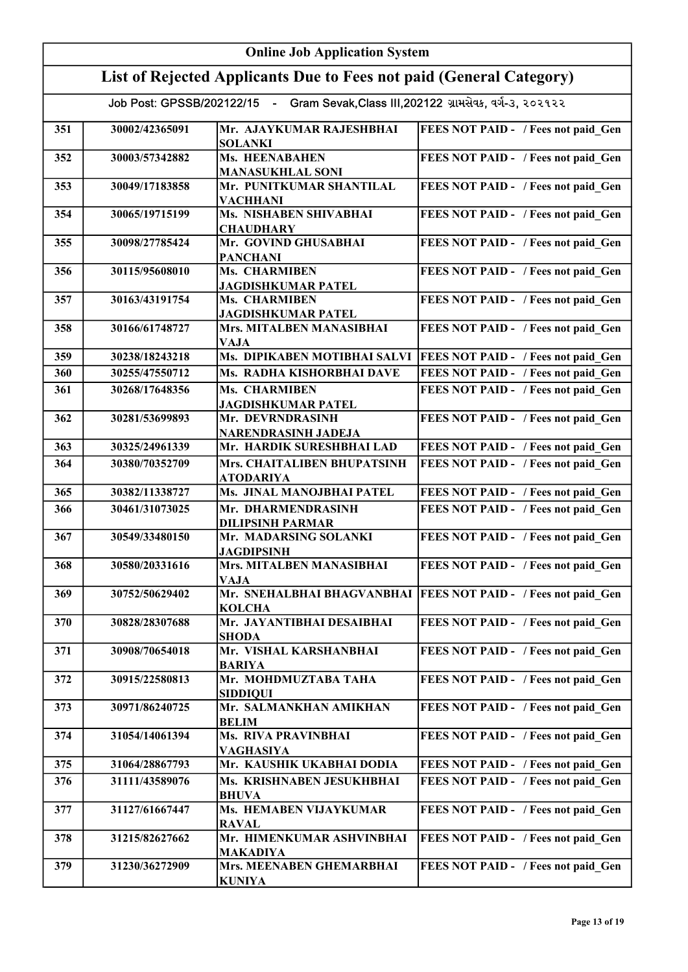| <b>Online Job Application System</b>                                                |                |                                                              |                                            |  |
|-------------------------------------------------------------------------------------|----------------|--------------------------------------------------------------|--------------------------------------------|--|
| List of Rejected Applicants Due to Fees not paid (General Category)                 |                |                                                              |                                            |  |
| Job Post: GPSSB/202122/15 - Gram Sevak, Class III, 202122 ગ્રામસેવક, વર્ગ-૩, ૨૦૨૧૨૨ |                |                                                              |                                            |  |
| 351                                                                                 |                |                                                              |                                            |  |
|                                                                                     | 30002/42365091 | Mr. AJAYKUMAR RAJESHBHAI<br><b>SOLANKI</b>                   | FEES NOT PAID - / Fees not paid Gen        |  |
| 352                                                                                 | 30003/57342882 | <b>Ms. HEENABAHEN</b><br><b>MANASUKHLAL SONI</b>             | FEES NOT PAID - / Fees not paid_Gen        |  |
| 353                                                                                 | 30049/17183858 | Mr. PUNITKUMAR SHANTILAL<br><b>VACHHANI</b>                  | FEES NOT PAID - / Fees not paid_Gen        |  |
| 354                                                                                 | 30065/19715199 | Ms. NISHABEN SHIVABHAI<br><b>CHAUDHARY</b>                   | FEES NOT PAID - / Fees not paid Gen        |  |
| 355                                                                                 | 30098/27785424 | Mr. GOVIND GHUSABHAI<br><b>PANCHANI</b>                      | FEES NOT PAID - / Fees not paid Gen        |  |
| 356                                                                                 | 30115/95608010 | Ms. CHARMIBEN<br><b>JAGDISHKUMAR PATEL</b>                   | FEES NOT PAID - / Fees not paid Gen        |  |
| 357                                                                                 | 30163/43191754 | Ms. CHARMIBEN<br><b>JAGDISHKUMAR PATEL</b>                   | FEES NOT PAID - / Fees not paid Gen        |  |
| 358                                                                                 | 30166/61748727 | Mrs. MITALBEN MANASIBHAI                                     | FEES NOT PAID - / Fees not paid Gen        |  |
| 359                                                                                 | 30238/18243218 | <b>VAJA</b><br>Ms. DIPIKABEN MOTIBHAI SALVI                  | <b>FEES NOT PAID - / Fees not paid Gen</b> |  |
| 360                                                                                 | 30255/47550712 | Ms. RADHA KISHORBHAI DAVE                                    | FEES NOT PAID - / Fees not paid Gen        |  |
| 361                                                                                 | 30268/17648356 | Ms. CHARMIBEN                                                | FEES NOT PAID - / Fees not paid Gen        |  |
| 362                                                                                 | 30281/53699893 | <b>JAGDISHKUMAR PATEL</b><br>Mr. DEVRNDRASINH                | FEES NOT PAID - / Fees not paid Gen        |  |
| 363                                                                                 | 30325/24961339 | NARENDRASINH JADEJA<br>Mr. HARDIK SURESHBHAI LAD             | FEES NOT PAID - / Fees not paid Gen        |  |
| 364                                                                                 | 30380/70352709 | Mrs. CHAITALIBEN BHUPATSINH                                  | FEES NOT PAID - / Fees not paid Gen        |  |
|                                                                                     |                | <b>ATODARIYA</b>                                             |                                            |  |
| 365                                                                                 | 30382/11338727 | Ms. JINAL MANOJBHAI PATEL                                    | FEES NOT PAID - / Fees not paid Gen        |  |
| 366                                                                                 | 30461/31073025 | Mr. DHARMENDRASINH<br><b>DILIPSINH PARMAR</b>                | FEES NOT PAID - / Fees not paid Gen        |  |
| 367                                                                                 | 30549/33480150 | Mr. MADARSING SOLANKI<br><b>JAGDIPSINH</b>                   | FEES NOT PAID - / Fees not paid Gen        |  |
| 368                                                                                 | 30580/20331616 | Mrs. MITALBEN MANASIBHAI<br><b>VAJA</b>                      | FEES NOT PAID - / Fees not paid Gen        |  |
| 369                                                                                 | 30752/50629402 | Mr. SNEHALBHAI BHAGVANBHAI<br><b>KOLCHA</b>                  | <b>FEES NOT PAID - / Fees not paid Gen</b> |  |
| 370                                                                                 | 30828/28307688 | Mr. JAYANTIBHAI DESAIBHAI<br><b>SHODA</b>                    | FEES NOT PAID - / Fees not paid_Gen        |  |
| 371                                                                                 | 30908/70654018 | Mr. VISHAL KARSHANBHAI<br><b>BARIYA</b>                      | FEES NOT PAID - / Fees not paid Gen        |  |
| 372                                                                                 | 30915/22580813 | Mr. MOHDMUZTABA TAHA<br><b>SIDDIQUI</b>                      | FEES NOT PAID - / Fees not paid Gen        |  |
| 373                                                                                 | 30971/86240725 | Mr. SALMANKHAN AMIKHAN<br><b>BELIM</b>                       | FEES NOT PAID - / Fees not paid Gen        |  |
| 374                                                                                 | 31054/14061394 | <b>Ms. RIVA PRAVINBHAI</b><br><b>VAGHASIYA</b>               | FEES NOT PAID - / Fees not paid Gen        |  |
| 375                                                                                 | 31064/28867793 | Mr. KAUSHIK UKABHAI DODIA                                    | FEES NOT PAID - / Fees not paid Gen        |  |
| 376                                                                                 | 31111/43589076 | Ms. KRISHNABEN JESUKHBHAI                                    | FEES NOT PAID - / Fees not paid Gen        |  |
| 377                                                                                 | 31127/61667447 | <b>BHUVA</b><br>Ms. HEMABEN VIJAYKUMAR                       | FEES NOT PAID - / Fees not paid Gen        |  |
| 378                                                                                 | 31215/82627662 | <b>RAVAL</b><br>Mr. HIMENKUMAR ASHVINBHAI                    | FEES NOT PAID - / Fees not paid Gen        |  |
| 379                                                                                 | 31230/36272909 | <b>MAKADIYA</b><br>Mrs. MEENABEN GHEMARBHAI<br><b>KUNIYA</b> | FEES NOT PAID - / Fees not paid Gen        |  |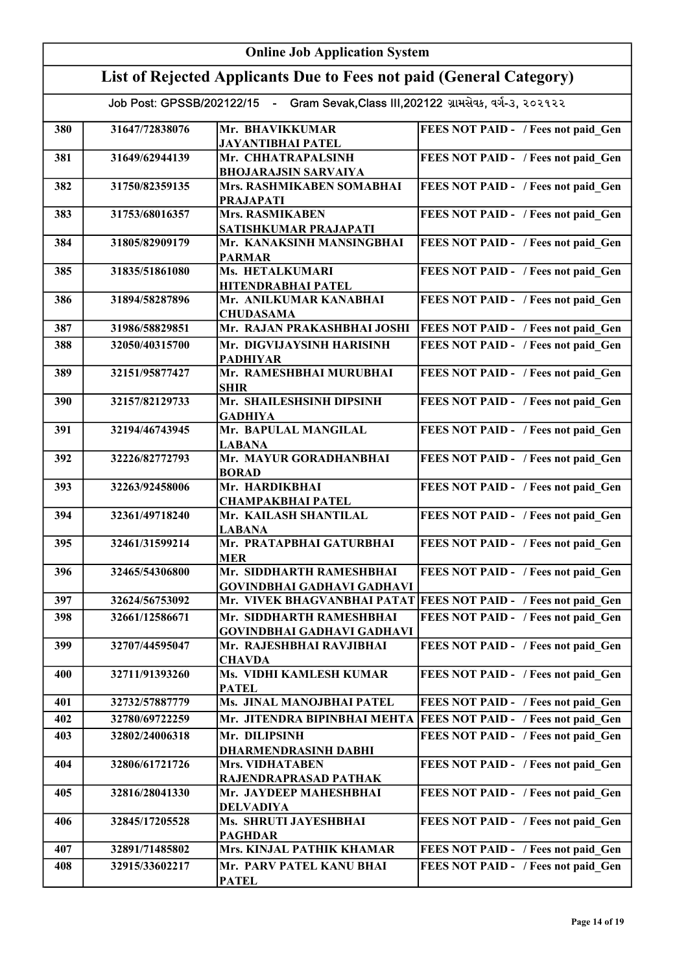| <b>Online Job Application System</b>                                                |                |                                                                                |                                                                 |
|-------------------------------------------------------------------------------------|----------------|--------------------------------------------------------------------------------|-----------------------------------------------------------------|
| List of Rejected Applicants Due to Fees not paid (General Category)                 |                |                                                                                |                                                                 |
| Job Post: GPSSB/202122/15 - Gram Sevak, Class III, 202122 ગ્રામસેવક, વર્ગ-3, ૨૦૨૧૨૨ |                |                                                                                |                                                                 |
|                                                                                     |                |                                                                                |                                                                 |
| 380                                                                                 | 31647/72838076 | Mr. BHAVIKKUMAR<br><b>JAYANTIBHAI PATEL</b>                                    | FEES NOT PAID - / Fees not paid Gen                             |
| 381                                                                                 | 31649/62944139 | Mr. CHHATRAPALSINH<br><b>BHOJARAJSIN SARVAIYA</b>                              | FEES NOT PAID - / Fees not paid Gen                             |
| 382                                                                                 | 31750/82359135 | Mrs. RASHMIKABEN SOMABHAI<br><b>PRAJAPATI</b>                                  | FEES NOT PAID - / Fees not paid_Gen                             |
| 383                                                                                 | 31753/68016357 | Mrs. RASMIKABEN<br>SATISHKUMAR PRAJAPATI                                       | FEES NOT PAID - / Fees not paid Gen                             |
| 384                                                                                 | 31805/82909179 | Mr. KANAKSINH MANSINGBHAI<br><b>PARMAR</b>                                     | FEES NOT PAID - / Fees not paid Gen                             |
| 385                                                                                 | 31835/51861080 | Ms. HETALKUMARI<br><b>HITENDRABHAI PATEL</b>                                   | FEES NOT PAID - / Fees not paid Gen                             |
| 386                                                                                 | 31894/58287896 | Mr. ANILKUMAR KANABHAI<br><b>CHUDASAMA</b>                                     | FEES NOT PAID - / Fees not paid_Gen                             |
| 387                                                                                 | 31986/58829851 | Mr. RAJAN PRAKASHBHAI JOSHI                                                    | FEES NOT PAID - / Fees not paid_Gen                             |
| 388                                                                                 | 32050/40315700 | Mr. DIGVIJAYSINH HARISINH<br><b>PADHIYAR</b>                                   | FEES NOT PAID - / Fees not paid Gen                             |
| 389                                                                                 | 32151/95877427 | Mr. RAMESHBHAI MURUBHAI<br><b>SHIR</b>                                         | FEES NOT PAID - / Fees not paid Gen                             |
| 390                                                                                 | 32157/82129733 | Mr. SHAILESHSINH DIPSINH<br><b>GADHIYA</b>                                     | FEES NOT PAID - / Fees not paid Gen                             |
| 391                                                                                 | 32194/46743945 | Mr. BAPULAL MANGILAL<br><b>LABANA</b>                                          | FEES NOT PAID - / Fees not paid Gen                             |
| 392                                                                                 | 32226/82772793 | Mr. MAYUR GORADHANBHAI<br><b>BORAD</b>                                         | FEES NOT PAID - / Fees not paid Gen                             |
| 393                                                                                 | 32263/92458006 | Mr. HARDIKBHAI<br><b>CHAMPAKBHAI PATEL</b>                                     | FEES NOT PAID - / Fees not paid Gen                             |
| 394                                                                                 | 32361/49718240 | Mr. KAILASH SHANTILAL<br><b>LABANA</b>                                         | FEES NOT PAID - / Fees not paid Gen                             |
| 395                                                                                 | 32461/31599214 | Mr. PRATAPBHAI GATURBHAI<br><b>MER</b>                                         | FEES NOT PAID - / Fees not paid Gen                             |
| 396                                                                                 | 32465/54306800 | Mr. SIDDHARTH RAMESHBHAI<br><b>GOVINDBHAI GADHAVI GADHAVI</b>                  | FEES NOT PAID - / Fees not paid Gen                             |
| 397                                                                                 | 32624/56753092 |                                                                                | Mr. VIVEK BHAGVANBHAI PATAT FEES NOT PAID - / Fees not paid Gen |
| 398                                                                                 | 32661/12586671 | Mr. SIDDHARTH RAMESHBHAI<br><b>GOVINDBHAI GADHAVI GADHAVI</b>                  | FEES NOT PAID - / Fees not paid Gen                             |
| 399                                                                                 | 32707/44595047 | Mr. RAJESHBHAI RAVJIBHAI<br><b>CHAVDA</b>                                      | FEES NOT PAID - / Fees not paid Gen                             |
| 400                                                                                 | 32711/91393260 | Ms. VIDHI KAMLESH KUMAR<br><b>PATEL</b>                                        | FEES NOT PAID - / Fees not paid Gen                             |
| 401                                                                                 | 32732/57887779 | Ms. JINAL MANOJBHAI PATEL                                                      | FEES NOT PAID - / Fees not paid Gen                             |
| 402                                                                                 | 32780/69722259 | Mr. JITENDRA BIPINBHAI MEHTA                                                   | <b>FEES NOT PAID - / Fees not paid Gen</b>                      |
| 403                                                                                 | 32802/24006318 | Mr. DILIPSINH                                                                  | FEES NOT PAID - / Fees not paid Gen                             |
| 404                                                                                 | 32806/61721726 | <b>DHARMENDRASINH DABHI</b><br><b>Mrs. VIDHATABEN</b><br>RAJENDRAPRASAD PATHAK | FEES NOT PAID - / Fees not paid Gen                             |
| 405                                                                                 | 32816/28041330 | Mr. JAYDEEP MAHESHBHAI<br><b>DELVADIYA</b>                                     | FEES NOT PAID - / Fees not paid Gen                             |
| 406                                                                                 | 32845/17205528 | Ms. SHRUTI JAYESHBHAI                                                          | FEES NOT PAID - / Fees not paid Gen                             |
| 407                                                                                 | 32891/71485802 | <b>PAGHDAR</b><br>Mrs. KINJAL PATHIK KHAMAR                                    | FEES NOT PAID - / Fees not paid Gen                             |
| 408                                                                                 | 32915/33602217 | Mr. PARV PATEL KANU BHAI                                                       | FEES NOT PAID - / Fees not paid Gen                             |
|                                                                                     |                | <b>PATEL</b>                                                                   |                                                                 |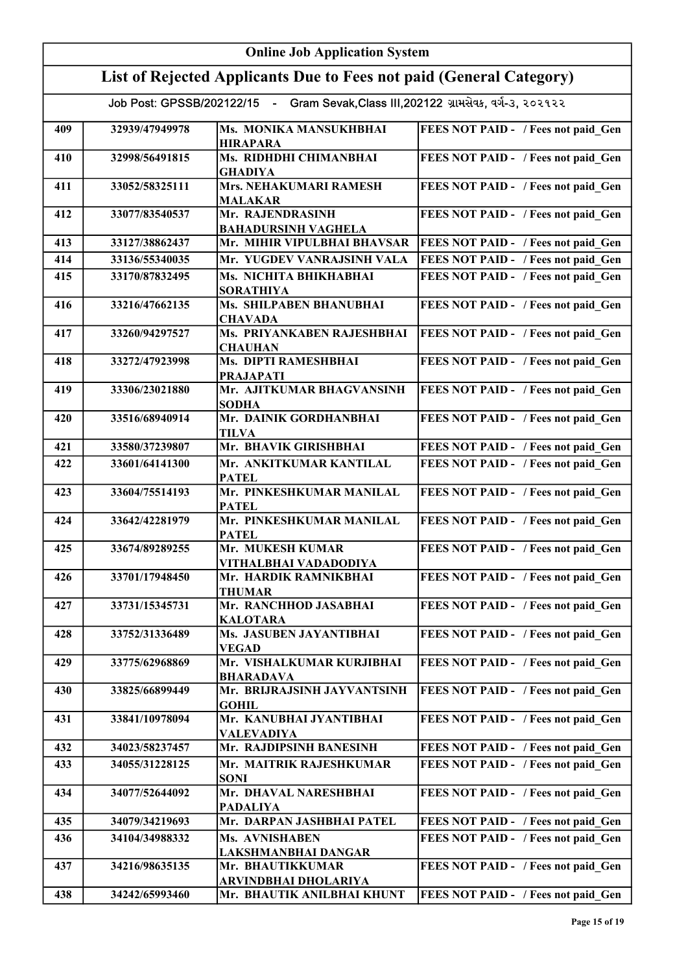| <b>Online Job Application System</b>                                                |                |                                                |                                     |
|-------------------------------------------------------------------------------------|----------------|------------------------------------------------|-------------------------------------|
| List of Rejected Applicants Due to Fees not paid (General Category)                 |                |                                                |                                     |
| Job Post: GPSSB/202122/15 - Gram Sevak, Class III, 202122 ગ્રામસેવક, વર્ગ-૩, ૨૦૨૧૨૨ |                |                                                |                                     |
| 409                                                                                 | 32939/47949978 | Ms. MONIKA MANSUKHBHAI<br><b>HIRAPARA</b>      | FEES NOT PAID - / Fees not paid Gen |
| 410                                                                                 | 32998/56491815 | Ms. RIDHDHI CHIMANBHAI<br><b>GHADIYA</b>       | FEES NOT PAID - / Fees not paid_Gen |
| 411                                                                                 | 33052/58325111 | Mrs. NEHAKUMARI RAMESH<br><b>MALAKAR</b>       | FEES NOT PAID - / Fees not paid Gen |
| 412                                                                                 | 33077/83540537 | Mr. RAJENDRASINH<br><b>BAHADURSINH VAGHELA</b> | FEES NOT PAID - / Fees not paid Gen |
| 413                                                                                 | 33127/38862437 | Mr. MIHIR VIPULBHAI BHAVSAR                    | FEES NOT PAID - / Fees not paid Gen |
| 414                                                                                 | 33136/55340035 | Mr. YUGDEV VANRAJSINH VALA                     | FEES NOT PAID - / Fees not paid Gen |
| 415                                                                                 | 33170/87832495 | Ms. NICHITA BHIKHABHAI<br><b>SORATHIYA</b>     | FEES NOT PAID - / Fees not paid Gen |
| 416                                                                                 | 33216/47662135 | Ms. SHILPABEN BHANUBHAI<br><b>CHAVADA</b>      | FEES NOT PAID - / Fees not paid Gen |
| 417                                                                                 | 33260/94297527 | Ms. PRIYANKABEN RAJESHBHAI<br><b>CHAUHAN</b>   | FEES NOT PAID - / Fees not paid Gen |
| 418                                                                                 | 33272/47923998 | Ms. DIPTI RAMESHBHAI<br><b>PRAJAPATI</b>       | FEES NOT PAID - / Fees not paid Gen |
| 419                                                                                 | 33306/23021880 | Mr. AJITKUMAR BHAGVANSINH<br><b>SODHA</b>      | FEES NOT PAID - / Fees not paid Gen |
| 420                                                                                 | 33516/68940914 | Mr. DAINIK GORDHANBHAI<br><b>TILVA</b>         | FEES NOT PAID - / Fees not paid Gen |
| 421                                                                                 | 33580/37239807 | Mr. BHAVIK GIRISHBHAI                          | FEES NOT PAID - / Fees not paid Gen |
| 422                                                                                 | 33601/64141300 | Mr. ANKITKUMAR KANTILAL<br><b>PATEL</b>        | FEES NOT PAID - / Fees not paid Gen |
| 423                                                                                 | 33604/75514193 | Mr. PINKESHKUMAR MANILAL<br><b>PATEL</b>       | FEES NOT PAID - / Fees not paid Gen |
| 424                                                                                 | 33642/42281979 | Mr. PINKESHKUMAR MANILAL<br><b>PATEL</b>       | FEES NOT PAID - / Fees not paid Gen |
| 425                                                                                 | 33674/89289255 | Mr. MUKESH KUMAR<br>VITHALBHAI VADADODIYA      | FEES NOT PAID - / Fees not paid Gen |
| 426                                                                                 | 33701/17948450 | Mr. HARDIK RAMNIKBHAI<br><b>THUMAR</b>         | FEES NOT PAID - / Fees not paid Gen |
| 427                                                                                 | 33731/15345731 | Mr. RANCHHOD JASABHAI<br><b>KALOTARA</b>       | FEES NOT PAID - / Fees not paid Gen |
| 428                                                                                 | 33752/31336489 | Ms. JASUBEN JAYANTIBHAI<br><b>VEGAD</b>        | FEES NOT PAID - / Fees not paid Gen |
| 429                                                                                 | 33775/62968869 | Mr. VISHALKUMAR KURJIBHAI<br><b>BHARADAVA</b>  | FEES NOT PAID - / Fees not paid Gen |
| 430                                                                                 | 33825/66899449 | Mr. BRIJRAJSINH JAYVANTSINH<br><b>GOHIL</b>    | FEES NOT PAID - / Fees not paid Gen |
| 431                                                                                 | 33841/10978094 | Mr. KANUBHAI JYANTIBHAI<br><b>VALEVADIYA</b>   | FEES NOT PAID - / Fees not paid Gen |
| 432                                                                                 | 34023/58237457 | Mr. RAJDIPSINH BANESINH                        | FEES NOT PAID - / Fees not paid Gen |
| 433                                                                                 | 34055/31228125 | Mr. MAITRIK RAJESHKUMAR<br><b>SONI</b>         | FEES NOT PAID - / Fees not paid Gen |
| 434                                                                                 | 34077/52644092 | Mr. DHAVAL NARESHBHAI<br><b>PADALIYA</b>       | FEES NOT PAID - / Fees not paid Gen |
| 435                                                                                 | 34079/34219693 | Mr. DARPAN JASHBHAI PATEL                      | FEES NOT PAID - / Fees not paid Gen |
| 436                                                                                 | 34104/34988332 | Ms. AVNISHABEN<br>LAKSHMANBHAI DANGAR          | FEES NOT PAID - / Fees not paid Gen |
| 437                                                                                 | 34216/98635135 | Mr. BHAUTIKKUMAR<br>ARVINDBHAI DHOLARIYA       | FEES NOT PAID - / Fees not paid Gen |
| 438                                                                                 | 34242/65993460 | Mr. BHAUTIK ANILBHAI KHUNT                     | FEES NOT PAID - / Fees not paid Gen |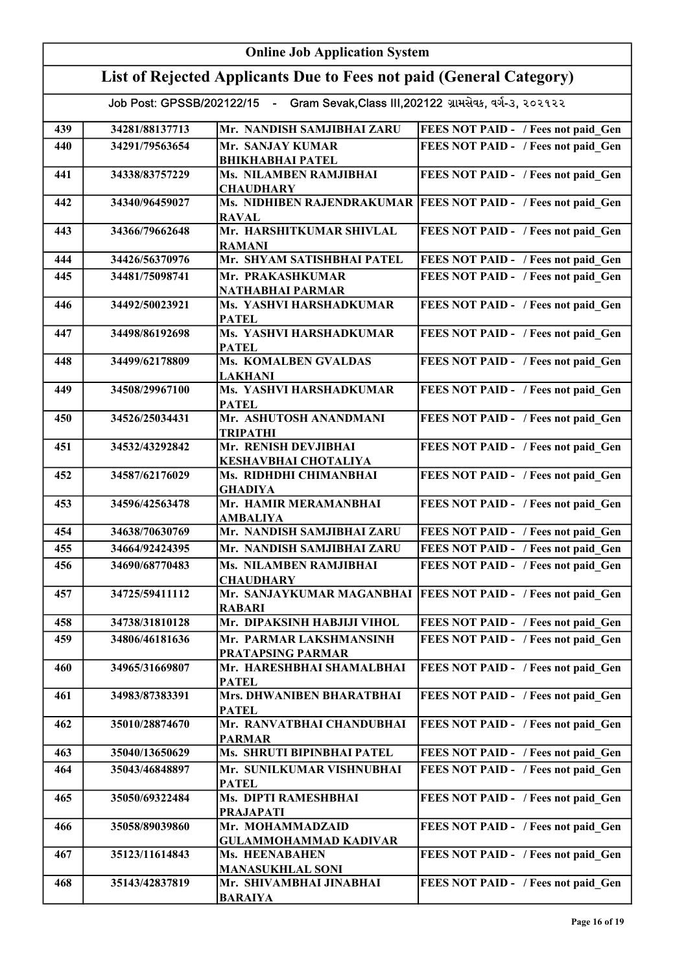| <b>Online Job Application System</b>                                                |                |                                                   |                                                                |
|-------------------------------------------------------------------------------------|----------------|---------------------------------------------------|----------------------------------------------------------------|
| List of Rejected Applicants Due to Fees not paid (General Category)                 |                |                                                   |                                                                |
| Job Post: GPSSB/202122/15 - Gram Sevak, Class III, 202122 ગ્રામસેવક, વર્ગ-૩, ૨૦૨૧૨૨ |                |                                                   |                                                                |
| 439                                                                                 | 34281/88137713 | Mr. NANDISH SAMJIBHAI ZARU                        | FEES NOT PAID - / Fees not paid Gen                            |
| 440                                                                                 | 34291/79563654 | Mr. SANJAY KUMAR                                  | FEES NOT PAID - / Fees not paid Gen                            |
| 441                                                                                 | 34338/83757229 | <b>BHIKHABHAI PATEL</b><br>Ms. NILAMBEN RAMJIBHAI | FEES NOT PAID - / Fees not paid_Gen                            |
|                                                                                     |                | <b>CHAUDHARY</b>                                  |                                                                |
| 442                                                                                 | 34340/96459027 | <b>RAVAL</b>                                      | Ms. NIDHIBEN RAJENDRAKUMAR FEES NOT PAID - / Fees not paid_Gen |
| 443                                                                                 | 34366/79662648 | Mr. HARSHITKUMAR SHIVLAL<br><b>RAMANI</b>         | FEES NOT PAID - / Fees not paid_Gen                            |
| 444                                                                                 | 34426/56370976 | Mr. SHYAM SATISHBHAI PATEL                        | FEES NOT PAID - / Fees not paid Gen                            |
| 445                                                                                 | 34481/75098741 | Mr. PRAKASHKUMAR<br>NATHABHAI PARMAR              | FEES NOT PAID - / Fees not paid Gen                            |
| 446                                                                                 | 34492/50023921 | Ms. YASHVI HARSHADKUMAR<br><b>PATEL</b>           | FEES NOT PAID - / Fees not paid Gen                            |
| 447                                                                                 | 34498/86192698 | Ms. YASHVI HARSHADKUMAR<br><b>PATEL</b>           | FEES NOT PAID - / Fees not paid Gen                            |
| 448                                                                                 | 34499/62178809 | <b>Ms. KOMALBEN GVALDAS</b><br><b>LAKHANI</b>     | FEES NOT PAID - / Fees not paid_Gen                            |
| 449                                                                                 | 34508/29967100 | Ms. YASHVI HARSHADKUMAR<br><b>PATEL</b>           | FEES NOT PAID - / Fees not paid Gen                            |
| 450                                                                                 | 34526/25034431 | Mr. ASHUTOSH ANANDMANI<br><b>TRIPATHI</b>         | FEES NOT PAID - / Fees not paid Gen                            |
| 451                                                                                 | 34532/43292842 | Mr. RENISH DEVJIBHAI<br>KESHAVBHAI CHOTALIYA      | FEES NOT PAID - / Fees not paid Gen                            |
| 452                                                                                 | 34587/62176029 | Ms. RIDHDHI CHIMANBHAI<br><b>GHADIYA</b>          | FEES NOT PAID - / Fees not paid Gen                            |
| 453                                                                                 | 34596/42563478 | Mr. HAMIR MERAMANBHAI<br>AMBALIYA                 | FEES NOT PAID - / Fees not paid Gen                            |
| 454                                                                                 | 34638/70630769 | Mr. NANDISH SAMJIBHAI ZARU                        | FEES NOT PAID - / Fees not paid Gen                            |
| 455                                                                                 | 34664/92424395 | Mr. NANDISH SAMJIBHAI ZARU                        | FEES NOT PAID - / Fees not paid Gen                            |
| 456                                                                                 | 34690/68770483 | Ms. NILAMBEN RAMJIBHAI<br><b>CHAUDHARY</b>        | FEES NOT PAID - / Fees not paid Gen                            |
| 457                                                                                 | 34725/59411112 | Mr. SANJAYKUMAR MAGANBHAI<br><b>RABARI</b>        | <b>FEES NOT PAID - / Fees not paid Gen</b>                     |
| 458                                                                                 | 34738/31810128 | Mr. DIPAKSINH HABJIJI VIHOL                       | FEES NOT PAID - / Fees not paid Gen                            |
| 459                                                                                 | 34806/46181636 | Mr. PARMAR LAKSHMANSINH<br>PRATAPSING PARMAR      | FEES NOT PAID - / Fees not paid Gen                            |
| 460                                                                                 | 34965/31669807 | Mr. HARESHBHAI SHAMALBHAI<br><b>PATEL</b>         | FEES NOT PAID - / Fees not paid Gen                            |
| 461                                                                                 | 34983/87383391 | Mrs. DHWANIBEN BHARATBHAI<br><b>PATEL</b>         | FEES NOT PAID - / Fees not paid Gen                            |
| 462                                                                                 | 35010/28874670 | Mr. RANVATBHAI CHANDUBHAI<br><b>PARMAR</b>        | FEES NOT PAID - / Fees not paid Gen                            |
| 463                                                                                 | 35040/13650629 | Ms. SHRUTI BIPINBHAI PATEL                        | FEES NOT PAID - / Fees not paid Gen                            |
| 464                                                                                 | 35043/46848897 | Mr. SUNILKUMAR VISHNUBHAI<br><b>PATEL</b>         | FEES NOT PAID - / Fees not paid Gen                            |
| 465                                                                                 | 35050/69322484 | Ms. DIPTI RAMESHBHAI<br><b>PRAJAPATI</b>          | FEES NOT PAID - / Fees not paid Gen                            |
| 466                                                                                 | 35058/89039860 | Mr. MOHAMMADZAID<br><b>GULAMMOHAMMAD KADIVAR</b>  | FEES NOT PAID - / Fees not paid Gen                            |
| 467                                                                                 | 35123/11614843 | <b>Ms. HEENABAHEN</b><br><b>MANASUKHLAL SONI</b>  | FEES NOT PAID - / Fees not paid Gen                            |
| 468                                                                                 | 35143/42837819 | Mr. SHIVAMBHAI JINABHAI<br><b>BARAIYA</b>         | FEES NOT PAID - / Fees not paid Gen                            |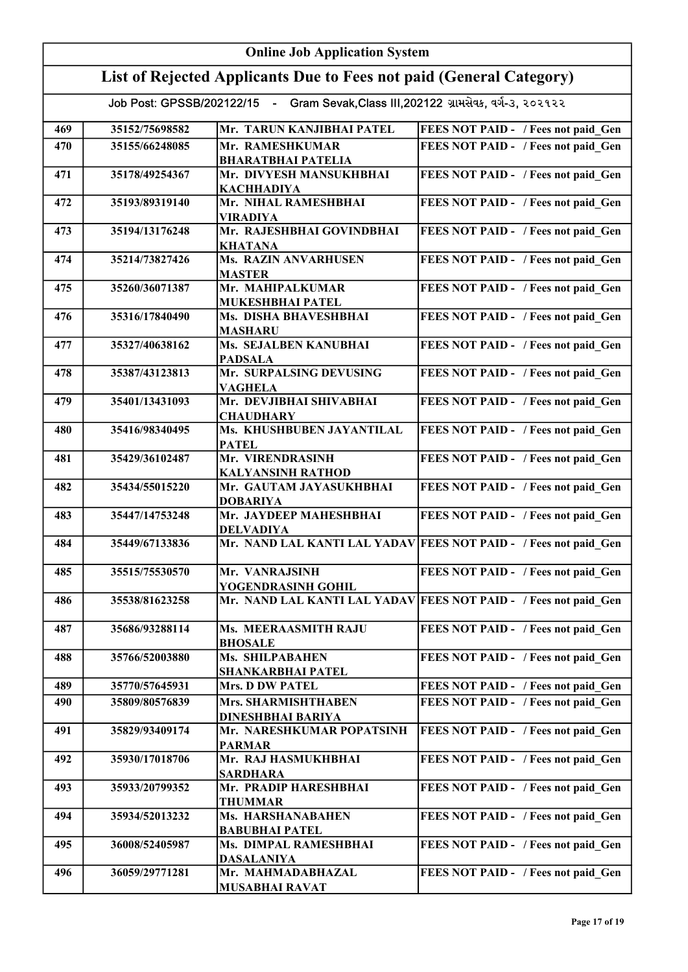| <b>Online Job Application System</b>                                                |                |                                                 |                                                                  |
|-------------------------------------------------------------------------------------|----------------|-------------------------------------------------|------------------------------------------------------------------|
| List of Rejected Applicants Due to Fees not paid (General Category)                 |                |                                                 |                                                                  |
| Job Post: GPSSB/202122/15 - Gram Sevak, Class III, 202122 ગ્રામસેવક, વર્ગ-3, ૨૦૨૧૨૨ |                |                                                 |                                                                  |
| 469                                                                                 | 35152/75698582 | Mr. TARUN KANJIBHAI PATEL                       | FEES NOT PAID - / Fees not paid Gen                              |
| 470                                                                                 | 35155/66248085 | Mr. RAMESHKUMAR<br><b>BHARATBHAI PATELIA</b>    | FEES NOT PAID - / Fees not paid Gen                              |
| 471                                                                                 | 35178/49254367 | Mr. DIVYESH MANSUKHBHAI<br><b>KACHHADIYA</b>    | FEES NOT PAID - / Fees not paid Gen                              |
| 472                                                                                 | 35193/89319140 | Mr. NIHAL RAMESHBHAI<br><b>VIRADIYA</b>         | FEES NOT PAID - / Fees not paid_Gen                              |
| 473                                                                                 | 35194/13176248 | Mr. RAJESHBHAI GOVINDBHAI<br><b>KHATANA</b>     | FEES NOT PAID - / Fees not paid Gen                              |
| 474                                                                                 | 35214/73827426 | <b>Ms. RAZIN ANVARHUSEN</b><br><b>MASTER</b>    | FEES NOT PAID - / Fees not paid Gen                              |
| 475                                                                                 | 35260/36071387 | Mr. MAHIPALKUMAR<br><b>MUKESHBHAI PATEL</b>     | FEES NOT PAID - / Fees not paid Gen                              |
| 476                                                                                 | 35316/17840490 | Ms. DISHA BHAVESHBHAI<br><b>MASHARU</b>         | FEES NOT PAID - / Fees not paid Gen                              |
| 477                                                                                 | 35327/40638162 | Ms. SEJALBEN KANUBHAI<br><b>PADSALA</b>         | FEES NOT PAID - / Fees not paid Gen                              |
| 478                                                                                 | 35387/43123813 | Mr. SURPALSING DEVUSING<br><b>VAGHELA</b>       | FEES NOT PAID - / Fees not paid Gen                              |
| 479                                                                                 | 35401/13431093 | Mr. DEVJIBHAI SHIVABHAI<br><b>CHAUDHARY</b>     | FEES NOT PAID - / Fees not paid Gen                              |
| 480                                                                                 | 35416/98340495 | Ms. KHUSHBUBEN JAYANTILAL<br><b>PATEL</b>       | FEES NOT PAID - / Fees not paid Gen                              |
| 481                                                                                 | 35429/36102487 | Mr. VIRENDRASINH<br><b>KALYANSINH RATHOD</b>    | FEES NOT PAID - / Fees not paid Gen                              |
| 482                                                                                 | 35434/55015220 | Mr. GAUTAM JAYASUKHBHAI<br><b>DOBARIYA</b>      | FEES NOT PAID - / Fees not paid Gen                              |
| 483                                                                                 | 35447/14753248 | Mr. JAYDEEP MAHESHBHAI<br><b>DELVADIYA</b>      | FEES NOT PAID - / Fees not paid Gen                              |
| 484                                                                                 | 35449/67133836 |                                                 | Mr. NAND LAL KANTI LAL YADAV FEES NOT PAID - / Fees not paid Gen |
| 485                                                                                 | 35515/75530570 | Mr. VANRAJSINH<br>YOGENDRASINH GOHIL            | FEES NOT PAID - / Fees not paid Gen                              |
| 486                                                                                 | 35538/81623258 |                                                 | Mr. NAND LAL KANTI LAL YADAV FEES NOT PAID - / Fees not paid Gen |
| 487                                                                                 | 35686/93288114 | Ms. MEERAASMITH RAJU<br><b>BHOSALE</b>          | FEES NOT PAID - / Fees not paid Gen                              |
| 488                                                                                 | 35766/52003880 | Ms. SHILPABAHEN<br>SHANKARBHAI PATEL            | FEES NOT PAID - / Fees not paid Gen                              |
| 489                                                                                 | 35770/57645931 | <b>Mrs. D DW PATEL</b>                          | FEES NOT PAID - / Fees not paid Gen                              |
| 490                                                                                 | 35809/80576839 | Mrs. SHARMISHTHABEN<br><b>DINESHBHAI BARIYA</b> | FEES NOT PAID - / Fees not paid Gen                              |
| 491                                                                                 | 35829/93409174 | Mr. NARESHKUMAR POPATSINH<br><b>PARMAR</b>      | FEES NOT PAID - / Fees not paid Gen                              |
| 492                                                                                 | 35930/17018706 | Mr. RAJ HASMUKHBHAI<br><b>SARDHARA</b>          | FEES NOT PAID - / Fees not paid Gen                              |
| 493                                                                                 | 35933/20799352 | Mr. PRADIP HARESHBHAI<br><b>THUMMAR</b>         | FEES NOT PAID - / Fees not paid Gen                              |
| 494                                                                                 | 35934/52013232 | Ms. HARSHANABAHEN<br><b>BABUBHAI PATEL</b>      | FEES NOT PAID - / Fees not paid Gen                              |
| 495                                                                                 | 36008/52405987 | Ms. DIMPAL RAMESHBHAI<br><b>DASALANIYA</b>      | FEES NOT PAID - / Fees not paid Gen                              |
| 496                                                                                 | 36059/29771281 | Mr. MAHMADABHAZAL<br><b>MUSABHAI RAVAT</b>      | FEES NOT PAID - / Fees not paid Gen                              |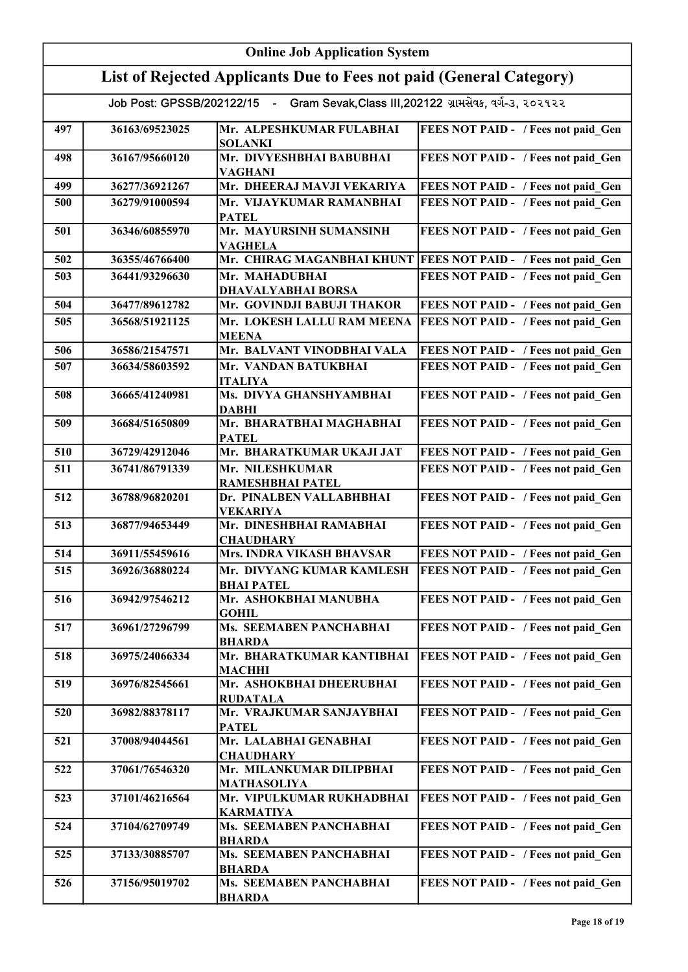| <b>Online Job Application System</b>                                                |                |                                                |                                                                  |
|-------------------------------------------------------------------------------------|----------------|------------------------------------------------|------------------------------------------------------------------|
| List of Rejected Applicants Due to Fees not paid (General Category)                 |                |                                                |                                                                  |
| Job Post: GPSSB/202122/15 - Gram Sevak, Class III, 202122 ગ્રામસેવક, વર્ગ-૩, ૨૦૨૧૨૨ |                |                                                |                                                                  |
|                                                                                     |                |                                                |                                                                  |
| 497                                                                                 | 36163/69523025 | Mr. ALPESHKUMAR FULABHAI<br><b>SOLANKI</b>     | FEES NOT PAID - / Fees not paid Gen                              |
| 498                                                                                 | 36167/95660120 | Mr. DIVYESHBHAI BABUBHAI<br><b>VAGHANI</b>     | FEES NOT PAID - / Fees not paid Gen                              |
| 499                                                                                 | 36277/36921267 | Mr. DHEERAJ MAVJI VEKARIYA                     | FEES NOT PAID - / Fees not paid_Gen                              |
| 500                                                                                 | 36279/91000594 | Mr. VIJAYKUMAR RAMANBHAI<br><b>PATEL</b>       | FEES NOT PAID - / Fees not paid Gen                              |
| 501                                                                                 | 36346/60855970 | Mr. MAYURSINH SUMANSINH<br><b>VAGHELA</b>      | FEES NOT PAID - / Fees not paid Gen                              |
| 502                                                                                 | 36355/46766400 |                                                | Mr. CHIRAG MAGANBHAI KHUNT   FEES NOT PAID - / Fees not paid Gen |
| 503                                                                                 | 36441/93296630 | Mr. MAHADUBHAI<br><b>DHAVALYABHAI BORSA</b>    | FEES NOT PAID - / Fees not paid Gen                              |
| 504                                                                                 | 36477/89612782 | Mr. GOVINDJI BABUJI THAKOR                     | FEES NOT PAID - / Fees not paid Gen                              |
| 505                                                                                 | 36568/51921125 | Mr. LOKESH LALLU RAM MEENA<br><b>MEENA</b>     | FEES NOT PAID - / Fees not paid Gen                              |
| 506                                                                                 | 36586/21547571 | Mr. BALVANT VINODBHAI VALA                     | FEES NOT PAID - / Fees not paid Gen                              |
| 507                                                                                 | 36634/58603592 | Mr. VANDAN BATUKBHAI<br><b>ITALIYA</b>         | FEES NOT PAID - / Fees not paid Gen                              |
| 508                                                                                 | 36665/41240981 | Ms. DIVYA GHANSHYAMBHAI<br><b>DABHI</b>        | FEES NOT PAID - / Fees not paid Gen                              |
| 509                                                                                 | 36684/51650809 | Mr. BHARATBHAI MAGHABHAI<br><b>PATEL</b>       | FEES NOT PAID - / Fees not paid_Gen                              |
| 510                                                                                 | 36729/42912046 | Mr. BHARATKUMAR UKAJI JAT                      | FEES NOT PAID - / Fees not paid_Gen                              |
| 511                                                                                 | 36741/86791339 | Mr. NILESHKUMAR<br>RAMESHBHAI PATEL            | FEES NOT PAID - / Fees not paid Gen                              |
| 512                                                                                 | 36788/96820201 | Dr. PINALBEN VALLABHBHAI<br><b>VEKARIYA</b>    | FEES NOT PAID - / Fees not paid Gen                              |
| 513                                                                                 | 36877/94653449 | Mr. DINESHBHAI RAMABHAI<br><b>CHAUDHARY</b>    | FEES NOT PAID - / Fees not paid Gen                              |
| 514                                                                                 | 36911/55459616 | <b>Mrs. INDRA VIKASH BHAVSAR</b>               | FEES NOT PAID - / Fees not paid_Gen                              |
| 515                                                                                 | 36926/36880224 | Mr. DIVYANG KUMAR KAMLESH<br><b>BHAI PATEL</b> | FEES NOT PAID - / Fees not paid Gen                              |
| 516                                                                                 | 36942/97546212 | Mr. ASHOKBHAI MANUBHA<br><b>GOHIL</b>          | FEES NOT PAID - / Fees not paid Gen                              |
| 517                                                                                 | 36961/27296799 | Ms. SEEMABEN PANCHABHAI<br><b>BHARDA</b>       | FEES NOT PAID - / Fees not paid Gen                              |
| 518                                                                                 | 36975/24066334 | Mr. BHARATKUMAR KANTIBHAI<br><b>MACHHI</b>     | FEES NOT PAID - / Fees not paid Gen                              |
| 519                                                                                 | 36976/82545661 | Mr. ASHOKBHAI DHEERUBHAI<br><b>RUDATALA</b>    | FEES NOT PAID - / Fees not paid Gen                              |
| 520                                                                                 | 36982/88378117 | Mr. VRAJKUMAR SANJAYBHAI<br><b>PATEL</b>       | FEES NOT PAID - / Fees not paid Gen                              |
| 521                                                                                 | 37008/94044561 | Mr. LALABHAI GENABHAI<br><b>CHAUDHARY</b>      | FEES NOT PAID - / Fees not paid Gen                              |
| 522                                                                                 | 37061/76546320 | Mr. MILANKUMAR DILIPBHAI<br><b>MATHASOLIYA</b> | FEES NOT PAID - / Fees not paid Gen                              |
| 523                                                                                 | 37101/46216564 | Mr. VIPULKUMAR RUKHADBHAI<br><b>KARMATIYA</b>  | FEES NOT PAID - / Fees not paid Gen                              |
| 524                                                                                 | 37104/62709749 | Ms. SEEMABEN PANCHABHAI<br><b>BHARDA</b>       | FEES NOT PAID - / Fees not paid Gen                              |
| 525                                                                                 | 37133/30885707 | Ms. SEEMABEN PANCHABHAI<br><b>BHARDA</b>       | FEES NOT PAID - / Fees not paid Gen                              |
| 526                                                                                 | 37156/95019702 | Ms. SEEMABEN PANCHABHAI<br><b>BHARDA</b>       | FEES NOT PAID - / Fees not paid Gen                              |